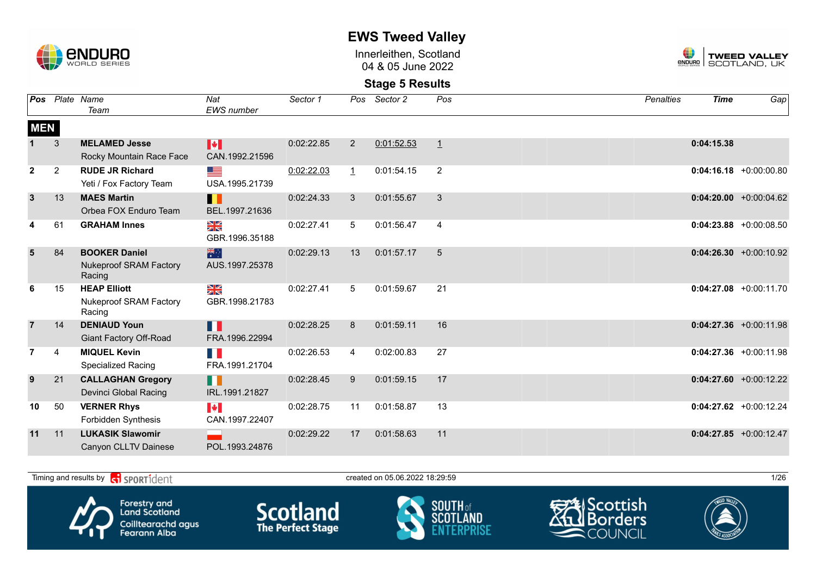

Innerleithen, Scotland 04 & 05 June 2022



| Pos            |                | Plate Name<br>Team                                              | Nat<br><b>EWS</b> number                | Sector 1   | Pos            | Sector 2   | Pos            | <b>Penalties</b> | <b>Time</b> | Gap                       |
|----------------|----------------|-----------------------------------------------------------------|-----------------------------------------|------------|----------------|------------|----------------|------------------|-------------|---------------------------|
| <b>MEN</b>     |                |                                                                 |                                         |            |                |            |                |                  |             |                           |
|                | 3              | <b>MELAMED Jesse</b><br>Rocky Mountain Race Face                | H<br>CAN.1992.21596                     | 0:02:22.85 | $\overline{2}$ | 0:01:52.53 | $\mathbf{1}$   |                  | 0:04:15.38  |                           |
| $\mathbf{2}$   | $\overline{2}$ | <b>RUDE JR Richard</b><br>Yeti / Fox Factory Team               | <u>se</u><br>USA.1995.21739             | 0:02:22.03 | $\perp$        | 0:01:54.15 | $\overline{2}$ |                  |             | $0:04:16.18$ +0:00:00.80  |
| $\overline{3}$ | 13             | <b>MAES Martin</b><br>Orbea FOX Enduro Team                     | Ш<br>BEL.1997.21636                     | 0:02:24.33 | 3              | 0:01:55.67 | 3              |                  |             | $0:04:20.00 + 0:00:04.62$ |
| 4              | 61             | <b>GRAHAM Innes</b>                                             | N<br>X<br>GBR.1996.35188                | 0:02:27.41 | 5              | 0:01:56.47 | $\overline{4}$ |                  |             | $0:04:23.88$ +0:00:08.50  |
| 5              | 84             | <b>BOOKER Daniel</b><br><b>Nukeproof SRAM Factory</b><br>Racing | 米<br>AUS.1997.25378                     | 0:02:29.13 | 13             | 0:01:57.17 | 5              |                  |             | $0:04:26.30 +0:00:10.92$  |
| 6              | 15             | <b>HEAP Elliott</b><br>Nukeproof SRAM Factory<br>Racing         | N<br>X<br>GBR.1998.21783                | 0:02:27.41 | 5              | 0:01:59.67 | 21             |                  |             | $0:04:27.08$ +0:00:11.70  |
| $\overline{7}$ | 14             | <b>DENIAUD Youn</b><br><b>Giant Factory Off-Road</b>            | Ш<br>FRA.1996.22994                     | 0:02:28.25 | 8              | 0:01:59.11 | 16             |                  |             | $0:04:27.36$ +0:00:11.98  |
| 7              | 4              | <b>MIQUEL Kevin</b><br><b>Specialized Racing</b>                | E.<br>FRA.1991.21704                    | 0:02:26.53 | 4              | 0:02:00.83 | 27             |                  |             | $0:04:27.36$ +0:00:11.98  |
| 9              | 21             | <b>CALLAGHAN Gregory</b><br>Devinci Global Racing               | H<br>IRL.1991.21827                     | 0:02:28.45 | 9              | 0:01:59.15 | 17             |                  |             | $0:04:27.60 + 0:00:12.22$ |
| 10             | 50             | <b>VERNER Rhys</b><br>Forbidden Synthesis                       | $\blacktriangleright$<br>CAN.1997.22407 | 0:02:28.75 | 11             | 0:01:58.87 | 13             |                  |             | $0:04:27.62$ +0:00:12.24  |
| 11             | 11             | <b>LUKASIK Slawomir</b><br>Canyon CLLTV Dainese                 | POL.1993.24876                          | 0:02:29.22 | 17             | 0:01:58.63 | 11             |                  |             | $0:04:27.85$ +0:00:12.47  |

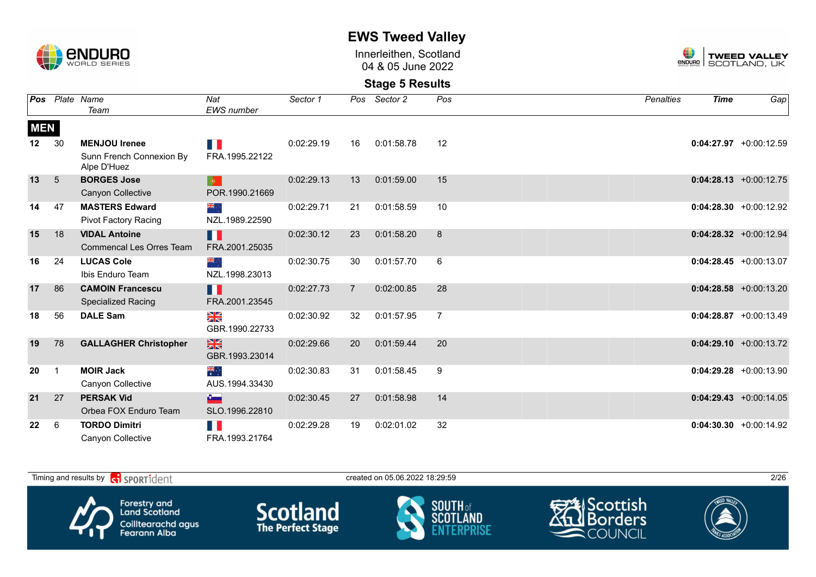

Innerleithen, Scotland 04 & 05 June 2022



| Pos        |    | Plate Name                              | Nat                  | Sector 1   | Pos            | Sector 2   | Pos | <b>Penalties</b> | <b>Time</b> | Gap                       |
|------------|----|-----------------------------------------|----------------------|------------|----------------|------------|-----|------------------|-------------|---------------------------|
|            |    | Team                                    | <b>EWS</b> number    |            |                |            |     |                  |             |                           |
| <b>MEN</b> |    |                                         |                      |            |                |            |     |                  |             |                           |
| 12         | 30 | <b>MENJOU Irenee</b>                    | H.                   | 0:02:29.19 | 16             | 0:01:58.78 | 12  |                  |             | $0:04:27.97 + 0:00:12.59$ |
|            |    | Sunn French Connexion By<br>Alpe D'Huez | FRA.1995.22122       |            |                |            |     |                  |             |                           |
| 13         | 5  | <b>BORGES Jose</b>                      |                      | 0:02:29.13 | 13             | 0:01:59.00 | 15  |                  |             | $0:04:28.13 + 0:00:12.75$ |
|            |    | Canyon Collective                       | POR.1990.21669       |            |                |            |     |                  |             |                           |
| 14         | 47 | <b>MASTERS Edward</b>                   | ∴ क्रँ≼              | 0:02:29.71 | 21             | 0:01:58.59 | 10  |                  |             | $0:04:28.30 + 0:00:12.92$ |
|            |    | <b>Pivot Factory Racing</b>             | NZL.1989.22590       |            |                |            |     |                  |             |                           |
| 15         | 18 | <b>VIDAL Antoine</b>                    | n I                  | 0:02:30.12 | 23             | 0:01:58.20 | 8   |                  |             | $0:04:28.32 +0:00:12.94$  |
|            |    | <b>Commencal Les Orres Team</b>         | FRA.2001.25035       |            |                |            |     |                  |             |                           |
| 16         | 24 | <b>LUCAS Cole</b>                       | ्रेह                 | 0:02:30.75 | 30             | 0:01:57.70 | 6   |                  |             | $0:04:28.45 + 0:00:13.07$ |
|            |    | Ibis Enduro Team                        | NZL.1998.23013       |            |                |            |     |                  |             |                           |
| 17         | 86 | <b>CAMOIN Francescu</b>                 | H                    | 0:02:27.73 | $\overline{7}$ | 0:02:00.85 | 28  |                  |             | $0:04:28.58$ +0:00:13.20  |
|            |    | <b>Specialized Racing</b>               | FRA.2001.23545       |            |                |            |     |                  |             |                           |
| 18         | 56 | <b>DALE Sam</b>                         | NK<br>ZK             | 0:02:30.92 | 32             | 0:01:57.95 | 7   |                  |             | $0:04:28.87$ +0:00:13.49  |
|            |    |                                         | GBR.1990.22733       |            |                |            |     |                  |             |                           |
| 19         | 78 | <b>GALLAGHER Christopher</b>            | $\frac{N}{N}$        | 0:02:29.66 | 20             | 0:01:59.44 | 20  |                  |             | $0:04:29.10 + 0:00:13.72$ |
|            |    |                                         | GBR.1993.23014       |            |                |            |     |                  |             |                           |
| 20         |    | <b>MOIR Jack</b>                        | $\frac{1}{\sqrt{2}}$ | 0:02:30.83 | 31             | 0:01:58.45 | 9   |                  |             | $0:04:29.28$ +0:00:13.90  |
|            |    | Canyon Collective                       | AUS.1994.33430       |            |                |            |     |                  |             |                           |
| 21         | 27 | <b>PERSAK Vid</b>                       | $\sim$               | 0:02:30.45 | 27             | 0:01:58.98 | 14  |                  |             | $0:04:29.43 + 0:00:14.05$ |
|            |    | Orbea FOX Enduro Team                   | SLO.1996.22810       |            |                |            |     |                  |             |                           |
| 22         | 6  | <b>TORDO Dimitri</b>                    | Ш                    | 0:02:29.28 | 19             | 0:02:01.02 | 32  |                  |             | $0:04:30.30 + 0:00:14.92$ |
|            |    | Canyon Collective                       | FRA.1993.21764       |            |                |            |     |                  |             |                           |

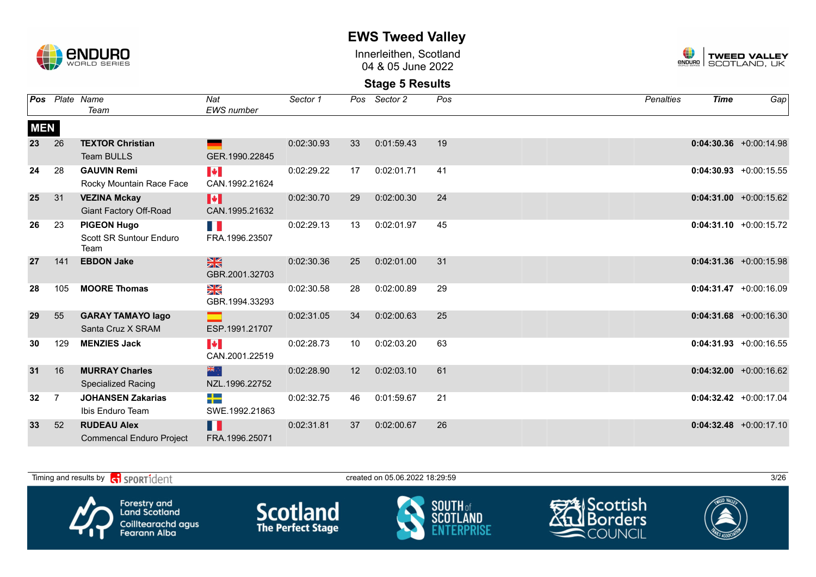

Innerleithen, Scotland 04 & 05 June 2022



|            |                | Pos Plate Name                  | Nat                   | Sector 1   | Pos | Sector 2   | Pos | <b>Penalties</b> | <b>Time</b> | Gap                       |
|------------|----------------|---------------------------------|-----------------------|------------|-----|------------|-----|------------------|-------------|---------------------------|
|            |                | Team                            | <b>EWS</b> number     |            |     |            |     |                  |             |                           |
| <b>MEN</b> |                |                                 |                       |            |     |            |     |                  |             |                           |
| 23         | 26             | <b>TEXTOR Christian</b>         |                       | 0:02:30.93 | 33  | 0:01:59.43 | 19  |                  |             | $0:04:30.36$ +0:00:14.98  |
|            |                | Team BULLS                      | GER.1990.22845        |            |     |            |     |                  |             |                           |
| 24         | 28             | <b>GAUVIN Remi</b>              | <b>EXPERIENCE</b>     | 0:02:29.22 | 17  | 0:02:01.71 | 41  |                  |             | $0:04:30.93 +0:00:15.55$  |
|            |                | Rocky Mountain Race Face        | CAN.1992.21624        |            |     |            |     |                  |             |                           |
| 25         | 31             | <b>VEZINA Mckay</b>             | M                     | 0:02:30.70 | 29  | 0:02:00.30 | 24  |                  |             | $0:04:31.00 + 0:00:15.62$ |
|            |                | <b>Giant Factory Off-Road</b>   | CAN.1995.21632        |            |     |            |     |                  |             |                           |
| 26         | 23             | <b>PIGEON Hugo</b>              | E.                    | 0:02:29.13 | 13  | 0:02:01.97 | 45  |                  |             | $0:04:31.10 + 0:00:15.72$ |
|            |                | Scott SR Suntour Enduro<br>Team | FRA.1996.23507        |            |     |            |     |                  |             |                           |
| 27         | 141            | <b>EBDON Jake</b>               | $\frac{N}{N}$         | 0:02:30.36 | 25  | 0:02:01.00 | 31  |                  |             | $0:04:31.36 + 0:00:15.98$ |
|            |                |                                 | GBR.2001.32703        |            |     |            |     |                  |             |                           |
| 28         | 105            | <b>MOORE Thomas</b>             | NK<br>ZK              | 0:02:30.58 | 28  | 0:02:00.89 | 29  |                  |             | $0:04:31.47 +0:00:16.09$  |
|            |                |                                 | GBR.1994.33293        |            |     |            |     |                  |             |                           |
| 29         | 55             | <b>GARAY TAMAYO lago</b>        |                       | 0:02:31.05 | 34  | 0:02:00.63 | 25  |                  |             | $0:04:31.68$ +0:00:16.30  |
|            |                | Santa Cruz X SRAM               | ESP.1991.21707        |            |     |            |     |                  |             |                           |
| 30         | 129            | <b>MENZIES Jack</b>             | $\blacktriangleright$ | 0:02:28.73 | 10  | 0:02:03.20 | 63  |                  |             | $0:04:31.93 + 0:00:16.55$ |
|            |                |                                 | CAN.2001.22519        |            |     |            |     |                  |             |                           |
| 31         | 16             | <b>MURRAY Charles</b>           | 米心                    | 0:02:28.90 | 12  | 0:02:03.10 | 61  |                  |             | $0:04:32.00 + 0:00:16.62$ |
|            |                | <b>Specialized Racing</b>       | NZL.1996.22752        |            |     |            |     |                  |             |                           |
| 32         | $\overline{7}$ | <b>JOHANSEN Zakarias</b>        | $\Rightarrow$         | 0:02:32.75 | 46  | 0:01:59.67 | 21  |                  |             | $0:04:32.42 +0:00:17.04$  |
|            |                | Ibis Enduro Team                | SWE.1992.21863        |            |     |            |     |                  |             |                           |
| 33         | 52             | <b>RUDEAU Alex</b>              | H.                    | 0:02:31.81 | 37  | 0:02:00.67 | 26  |                  |             | $0:04:32.48$ +0:00:17.10  |
|            |                | <b>Commencal Enduro Project</b> | FRA.1996.25071        |            |     |            |     |                  |             |                           |

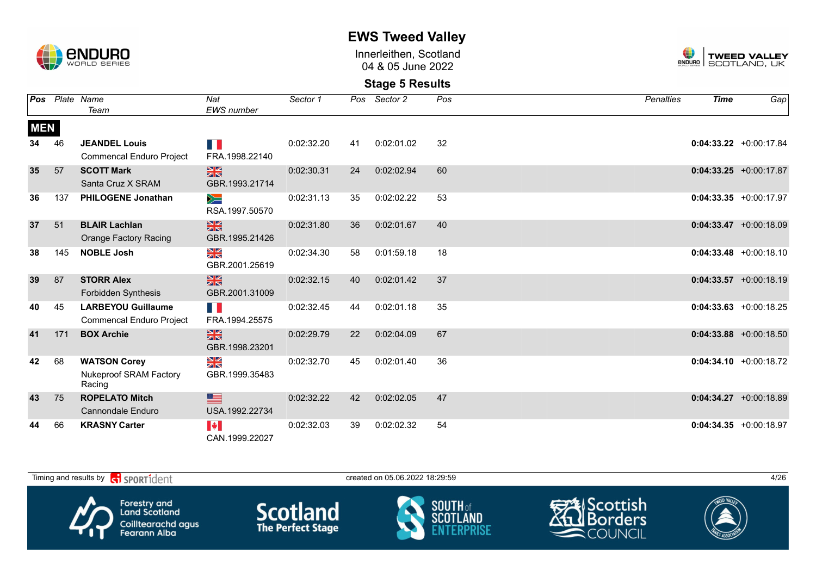

Innerleithen, Scotland 04 & 05 June 2022



| Pos        |     | Plate Name                      | Nat                     | Sector 1   |    | Pos Sector 2 | Pos | <b>Penalties</b> | <b>Time</b> | Gap                       |
|------------|-----|---------------------------------|-------------------------|------------|----|--------------|-----|------------------|-------------|---------------------------|
|            |     | Team                            | EWS number              |            |    |              |     |                  |             |                           |
| <b>MEN</b> |     |                                 |                         |            |    |              |     |                  |             |                           |
| 34         | 46  | <b>JEANDEL Louis</b>            | F.                      | 0:02:32.20 | 41 | 0:02:01.02   | 32  |                  |             | $0:04:33.22 +0:00:17.84$  |
|            |     | <b>Commencal Enduro Project</b> | FRA.1998.22140          |            |    |              |     |                  |             |                           |
| 35         | 57  | <b>SCOTT Mark</b>               | $\frac{N}{N}$           | 0:02:30.31 | 24 | 0:02:02.94   | 60  |                  |             | $0:04:33.25 +0:00:17.87$  |
|            |     | Santa Cruz X SRAM               | GBR.1993.21714          |            |    |              |     |                  |             |                           |
| 36         | 137 | <b>PHILOGENE Jonathan</b>       | $\geqslant$             | 0:02:31.13 | 35 | 0:02:02.22   | 53  |                  |             | $0:04:33.35 + 0:00:17.97$ |
|            |     |                                 | RSA.1997.50570          |            |    |              |     |                  |             |                           |
| 37         | 51  | <b>BLAIR Lachlan</b>            | $\frac{N}{N}$           | 0:02:31.80 | 36 | 0:02:01.67   | 40  |                  |             | $0:04:33.47 +0:00:18.09$  |
|            |     | <b>Orange Factory Racing</b>    | GBR.1995.21426          |            |    |              |     |                  |             |                           |
| 38         | 145 | <b>NOBLE Josh</b>               | $\frac{\sum x}{\sum x}$ | 0:02:34.30 | 58 | 0:01:59.18   | 18  |                  |             | $0:04:33.48 + 0:00:18.10$ |
|            |     |                                 | GBR.2001.25619          |            |    |              |     |                  |             |                           |
| 39         | 87  | <b>STORR Alex</b>               | $\frac{N}{N}$           | 0:02:32.15 | 40 | 0:02:01.42   | 37  |                  |             | $0:04:33.57 +0:00:18.19$  |
|            |     | <b>Forbidden Synthesis</b>      | GBR.2001.31009          |            |    |              |     |                  |             |                           |
| 40         | 45  | <b>LARBEYOU Guillaume</b>       | n p                     | 0:02:32.45 | 44 | 0:02:01.18   | 35  |                  |             | $0:04:33.63 + 0:00:18.25$ |
|            |     | <b>Commencal Enduro Project</b> | FRA.1994.25575          |            |    |              |     |                  |             |                           |
| 41         | 171 | <b>BOX Archie</b>               | $\frac{N}{N}$           | 0:02:29.79 | 22 | 0:02:04.09   | 67  |                  |             | $0:04:33.88$ +0:00:18.50  |
|            |     |                                 | GBR.1998.23201          |            |    |              |     |                  |             |                           |
| 42         | 68  | <b>WATSON Corey</b>             | ≫<br>X                  | 0:02:32.70 | 45 | 0:02:01.40   | 36  |                  |             | $0:04:34.10 + 0:00:18.72$ |
|            |     | Nukeproof SRAM Factory          | GBR.1999.35483          |            |    |              |     |                  |             |                           |
|            |     | Racing                          |                         |            |    |              |     |                  |             |                           |
| 43         | 75  | <b>ROPELATO Mitch</b>           | ▆                       | 0:02:32.22 | 42 | 0:02:02.05   | 47  |                  |             | $0:04:34.27 +0:00:18.89$  |
|            |     | Cannondale Enduro               | USA.1992.22734          |            |    |              |     |                  |             |                           |
| 44         | 66  | <b>KRASNY Carter</b>            | I÷.                     | 0:02:32.03 | 39 | 0:02:02.32   | 54  |                  |             | $0:04:34.35 + 0:00:18.97$ |
|            |     |                                 | CAN.1999.22027          |            |    |              |     |                  |             |                           |

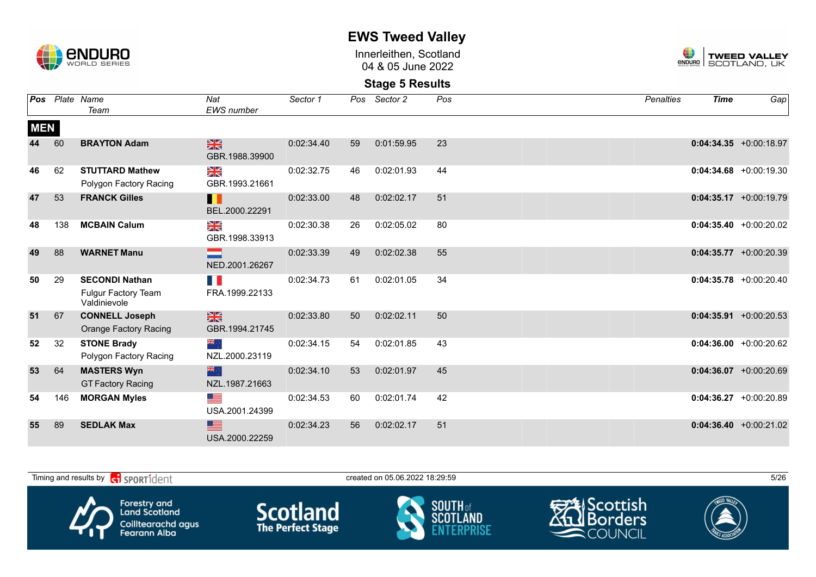

Innerleithen, Scotland 04 & 05 June 2022



| Pos        |     | Plate Name                                                   | Nat                             | Sector 1   | Pos | Sector 2   | Pos | <b>Penalties</b> | <b>Time</b> | Gap                       |
|------------|-----|--------------------------------------------------------------|---------------------------------|------------|-----|------------|-----|------------------|-------------|---------------------------|
|            |     | Team                                                         | <b>EWS</b> number               |            |     |            |     |                  |             |                           |
| <b>MEN</b> |     |                                                              |                                 |            |     |            |     |                  |             |                           |
| 44         | 60  | <b>BRAYTON Adam</b>                                          | $\frac{N}{N}$<br>GBR.1988.39900 | 0:02:34.40 | 59  | 0:01:59.95 | 23  |                  |             | $0:04:34.35 + 0:00:18.97$ |
| 46         | 62  | <b>STUTTARD Mathew</b><br>Polygon Factory Racing             | ≫<br>X<br>GBR.1993.21661        | 0:02:32.75 | 46  | 0:02:01.93 | 44  |                  |             | $0:04:34.68$ +0:00:19.30  |
| 47         | 53  | <b>FRANCK Gilles</b>                                         | H<br>BEL.2000.22291             | 0:02:33.00 | 48  | 0:02:02.17 | 51  |                  |             | $0:04:35.17 + 0:00:19.79$ |
| 48         | 138 | <b>MCBAIN Calum</b>                                          | NK<br>ZK<br>GBR.1998.33913      | 0:02:30.38 | 26  | 0:02:05.02 | 80  |                  |             | $0:04:35.40 + 0:00:20.02$ |
| 49         | 88  | <b>WARNET Manu</b>                                           | NED.2001.26267                  | 0:02:33.39 | 49  | 0:02:02.38 | 55  |                  |             | $0:04:35.77$ +0:00:20.39  |
| 50         | 29  | <b>SECONDI Nathan</b><br>Fulgur Factory Team<br>Valdinievole | E.<br>FRA.1999.22133            | 0:02:34.73 | 61  | 0:02:01.05 | 34  |                  |             | $0:04:35.78$ +0:00:20.40  |
| 51         | 67  | <b>CONNELL Joseph</b><br><b>Orange Factory Racing</b>        | $\frac{N}{N}$<br>GBR.1994.21745 | 0:02:33.80 | 50  | 0:02:02.11 | 50  |                  |             | $0:04:35.91 + 0:00:20.53$ |
| 52         | 32  | <b>STONE Brady</b><br>Polygon Factory Racing                 | ÷, ak<br>NZL.2000.23119         | 0:02:34.15 | 54  | 0:02:01.85 | 43  |                  |             | $0:04:36.00 + 0:00:20.62$ |
| 53         | 64  | <b>MASTERS Wyn</b><br><b>GT Factory Racing</b>               | 米心<br>NZL.1987.21663            | 0:02:34.10 | 53  | 0:02:01.97 | 45  |                  |             | $0:04:36.07$ +0:00:20.69  |
| 54         | 146 | <b>MORGAN Myles</b>                                          | <u> and</u><br>USA.2001.24399   | 0:02:34.53 | 60  | 0:02:01.74 | 42  |                  |             | $0:04:36.27$ +0:00:20.89  |
| 55         | 89  | <b>SEDLAK Max</b>                                            | ▆▆<br>USA.2000.22259            | 0:02:34.23 | 56  | 0:02:02.17 | 51  |                  |             | $0:04:36.40 + 0:00:21.02$ |

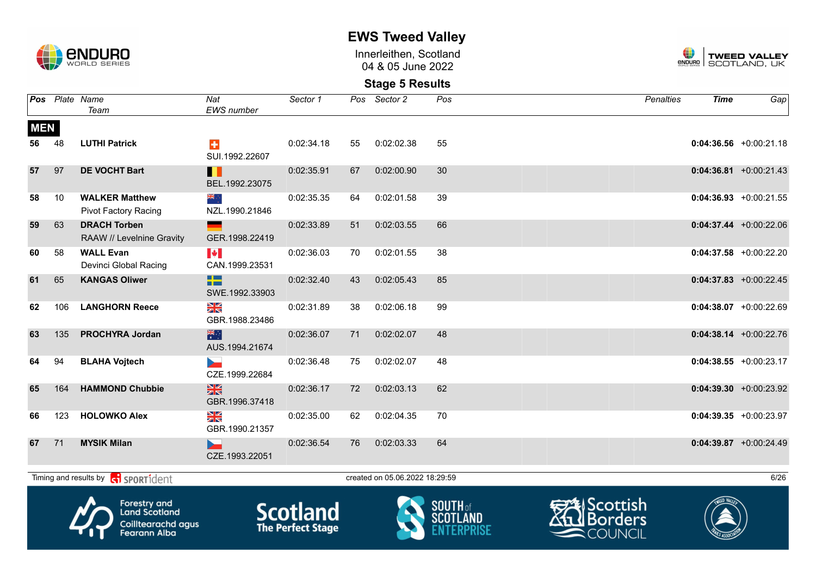

Innerleithen, Scotland 04 & 05 June 2022



#### **Stage 5 Results**

|            |     | <b>Pos</b> Plate Name<br>Team                               | Nat<br><b>EWS</b> number                | Sector 1   |    | Pos Sector 2                   | Pos         | Penalties            | <b>Time</b>  | Gap                       |
|------------|-----|-------------------------------------------------------------|-----------------------------------------|------------|----|--------------------------------|-------------|----------------------|--------------|---------------------------|
| <b>MEN</b> |     |                                                             |                                         |            |    |                                |             |                      |              |                           |
| 56         | 48  | <b>LUTHI Patrick</b>                                        | $\ddot{\phantom{1}}$<br>SUI.1992.22607  | 0:02:34.18 | 55 | 0:02:02.38                     | 55          |                      |              | $0:04:36.56 + 0:00:21.18$ |
| 57         | 97  | <b>DE VOCHT Bart</b>                                        | H<br>BEL.1992.23075                     | 0:02:35.91 | 67 | 0:02:00.90                     | 30          |                      |              | $0:04:36.81$ +0:00:21.43  |
| 58         | 10  | <b>WALKER Matthew</b><br>Pivot Factory Racing               | ्∶ क्रँ≼<br>NZL.1990.21846              | 0:02:35.35 | 64 | 0:02:01.58                     | 39          |                      |              | $0:04:36.93$ +0:00:21.55  |
| 59         | 63  | <b>DRACH Torben</b><br>RAAW // Levelnine Gravity            | GER.1998.22419                          | 0:02:33.89 | 51 | 0:02:03.55                     | 66          |                      |              | $0:04:37.44 +0:00:22.06$  |
| 60         | 58  | <b>WALL Evan</b><br>Devinci Global Racing                   | $\blacktriangleright$<br>CAN.1999.23531 | 0:02:36.03 | 70 | 0:02:01.55                     | 38          |                      |              | $0:04:37.58$ +0:00:22.20  |
| 61         | 65  | <b>KANGAS Oliwer</b>                                        | æ<br>SWE.1992.33903                     | 0:02:32.40 | 43 | 0:02:05.43                     | 85          |                      |              | $0:04:37.83 + 0:00:22.45$ |
| 62         | 106 | <b>LANGHORN Reece</b>                                       | ≥k<br>GBR.1988.23486                    | 0:02:31.89 | 38 | 0:02:06.18                     | 99          |                      |              | $0:04:38.07$ +0:00:22.69  |
| 63         | 135 | <b>PROCHYRA Jordan</b>                                      | 米<br>AUS.1994.21674                     | 0:02:36.07 | 71 | 0:02:02.07                     | 48          |                      |              | $0:04:38.14$ +0:00:22.76  |
| 64         | 94  | <b>BLAHA Vojtech</b>                                        | b.<br>CZE.1999.22684                    | 0:02:36.48 | 75 | 0:02:02.07                     | 48          |                      |              | $0:04:38.55$ +0:00:23.17  |
| 65         | 164 | <b>HAMMOND Chubbie</b>                                      | $\frac{N}{N}$<br>GBR.1996.37418         | 0:02:36.17 | 72 | 0:02:03.13                     | 62          |                      |              | $0:04:39.30 + 0:00:23.92$ |
| 66         | 123 | <b>HOLOWKO Alex</b>                                         | ≫≪<br>GBR.1990.21357                    | 0:02:35.00 | 62 | 0:02:04.35                     | 70          |                      |              | $0:04:39.35$ +0:00:23.97  |
| 67         | 71  | <b>MYSIK Milan</b>                                          | D.,<br>CZE.1993.22051                   | 0:02:36.54 | 76 | 0:02:03.33                     | 64          |                      |              | $0:04:39.87$ +0:00:24.49  |
|            |     | Timing and results by <b>container that the SPORT1</b> dent |                                         |            |    | created on 05.06.2022 18:29:59 |             |                      |              | 6/26                      |
|            |     | Λ<br><b>Forestry and</b>                                    |                                         |            |    |                                | $CAI TH of$ | <b>EXEL</b> Scottish | TWEED VALLEY |                           |



Land Scotland Coilltearachd agus<br>Fearann Alba







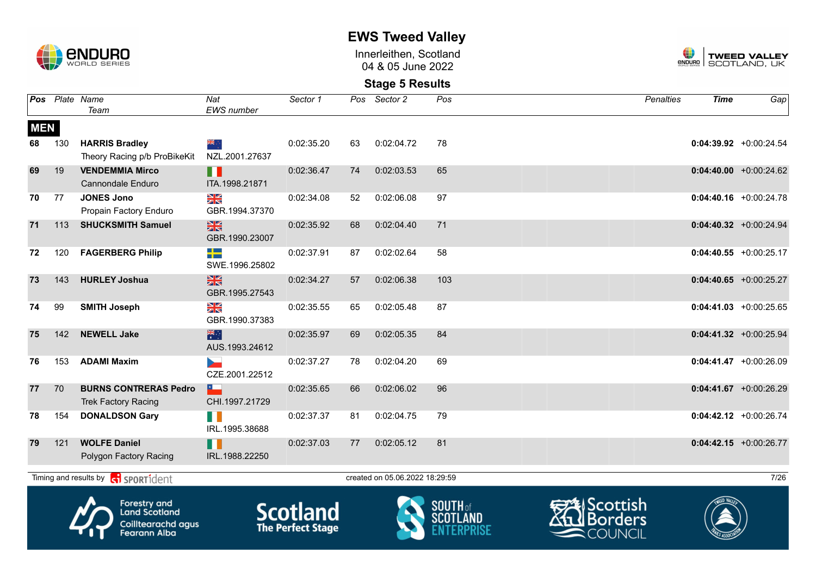

Innerleithen, Scotland 04 & 05 June 2022



#### **Stage 5 Results**

|            |     | Pos Plate Name<br>Team                                       | Nat<br>EWS number               | Sector 1            | Pos | Sector 2                       | Pos                 | Penalties           | <b>Time</b>  | Gap                       |
|------------|-----|--------------------------------------------------------------|---------------------------------|---------------------|-----|--------------------------------|---------------------|---------------------|--------------|---------------------------|
| <b>MEN</b> |     |                                                              |                                 |                     |     |                                |                     |                     |              |                           |
| 68         | 130 | <b>HARRIS Bradley</b><br>Theory Racing p/b ProBikeKit        | ्र क्रें≰<br>NZL.2001.27637     | 0:02:35.20          | 63  | 0:02:04.72                     | 78                  |                     |              | $0:04:39.92$ +0:00:24.54  |
| 69         | 19  | <b>VENDEMMIA Mirco</b><br><b>Cannondale Enduro</b>           | H<br>ITA.1998.21871             | 0:02:36.47          | 74  | 0:02:03.53                     | 65                  |                     |              | $0:04:40.00 + 0:00:24.62$ |
| 70         | 77  | <b>JONES Jono</b><br>Propain Factory Enduro                  | NK<br>ZK<br>GBR.1994.37370      | 0:02:34.08          | 52  | 0:02:06.08                     | 97                  |                     |              | $0:04:40.16$ +0:00:24.78  |
| 71         | 113 | <b>SHUCKSMITH Samuel</b>                                     | $\frac{N}{N}$<br>GBR.1990.23007 | 0:02:35.92          | 68  | 0:02:04.40                     | 71                  |                     |              | $0:04:40.32$ +0:00:24.94  |
| 72         | 120 | <b>FAGERBERG Philip</b>                                      | ╃═<br>SWE.1996.25802            | 0:02:37.91          | 87  | 0:02:02.64                     | 58                  |                     |              | $0:04:40.55 + 0:00:25.17$ |
| 73         | 143 | <b>HURLEY Joshua</b>                                         | $\frac{N}{N}$<br>GBR.1995.27543 | 0:02:34.27          | 57  | 0:02:06.38                     | 103                 |                     |              | $0:04:40.65$ +0:00:25.27  |
| 74         | 99  | <b>SMITH Joseph</b>                                          | N<br>X<br>GBR.1990.37383        | 0:02:35.55          | 65  | 0:02:05.48                     | 87                  |                     |              | $0:04:41.03$ +0:00:25.65  |
| 75         | 142 | <b>NEWELL Jake</b>                                           | 業務<br>AUS.1993.24612            | 0:02:35.97          | 69  | 0:02:05.35                     | 84                  |                     |              | $0:04:41.32 +0:00:25.94$  |
| 76         | 153 | <b>ADAMI Maxim</b>                                           | CZE.2001.22512                  | 0:02:37.27          | 78  | 0:02:04.20                     | 69                  |                     |              | $0:04:41.47$ +0:00:26.09  |
| 77         | 70  | <b>BURNS CONTRERAS Pedro</b><br><b>Trek Factory Racing</b>   | <u>x.</u><br>CHI.1997.21729     | 0:02:35.65          | 66  | 0:02:06.02                     | 96                  |                     |              | $0:04:41.67$ +0:00:26.29  |
| 78         | 154 | <b>DONALDSON Gary</b>                                        | H<br>IRL.1995.38688             | 0:02:37.37          | 81  | 0:02:04.75                     | 79                  |                     |              | $0:04:42.12$ +0:00:26.74  |
| 79         | 121 | <b>WOLFE Daniel</b><br>Polygon Factory Racing                | H<br>IRL.1988.22250             | 0:02:37.03          | 77  | 0:02:05.12                     | 81                  |                     |              | $0:04:42.15$ +0:00:26.77  |
|            |     | Timing and results by $\left[\frac{1}{2}\right]$ SPORT1 dent |                                 |                     |     | created on 05.06.2022 18:29:59 |                     |                     |              | 7/26                      |
|            |     | Λ<br><b>Forestry and</b>                                     |                                 | $\sim$ 1. $\sim$ 1. |     |                                | $S$ <b>NIITH</b> of | <b>EXELScottish</b> | TWEED VALLEY |                           |



**Land Scotland** Coilltearachd agus<br>Fearann Alba







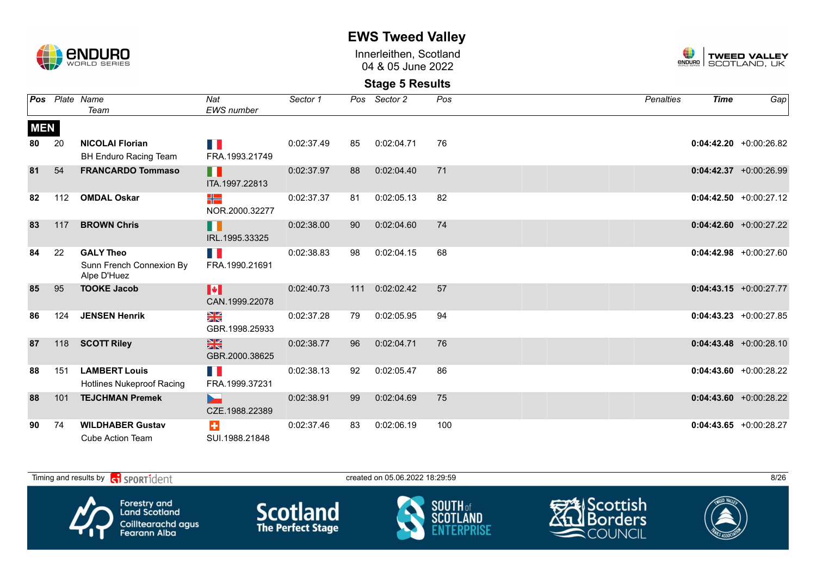

Innerleithen, Scotland 04 & 05 June 2022



|            |     | <b>Pos</b> Plate Name                                       | Nat                              | Sector 1   |     | Pos Sector 2 | Pos | <b>Penalties</b> | <b>Time</b> | Gap                       |
|------------|-----|-------------------------------------------------------------|----------------------------------|------------|-----|--------------|-----|------------------|-------------|---------------------------|
|            |     | Team                                                        | <b>EWS</b> number                |            |     |              |     |                  |             |                           |
| <b>MEN</b> |     |                                                             |                                  |            |     |              |     |                  |             |                           |
| 80         | 20  | <b>NICOLAI Florian</b>                                      |                                  | 0:02:37.49 | 85  | 0:02:04.71   | 76  |                  |             | $0:04:42.20$ +0:00:26.82  |
|            |     | <b>BH Enduro Racing Team</b>                                | FRA.1993.21749                   |            |     |              |     |                  |             |                           |
| 81         | 54  | <b>FRANCARDO Tommaso</b>                                    | H<br>ITA.1997.22813              | 0:02:37.97 | 88  | 0:02:04.40   | 71  |                  |             | $0:04:42.37 + 0:00:26.99$ |
| 82         | 112 | <b>OMDAL Oskar</b>                                          | ╬<br>NOR.2000.32277              | 0:02:37.37 | 81  | 0:02:05.13   | 82  |                  |             | $0:04:42.50$ +0:00:27.12  |
| 83         | 117 | <b>BROWN Chris</b>                                          | H<br>IRL.1995.33325              | 0:02:38.00 | 90  | 0:02:04.60   | 74  |                  |             | $0:04:42.60 + 0:00:27.22$ |
| 84         | 22  | <b>GALY Theo</b><br>Sunn French Connexion By<br>Alpe D'Huez | T.<br>FRA.1990.21691             | 0:02:38.83 | 98  | 0:02:04.15   | 68  |                  |             | $0:04:42.98$ +0:00:27.60  |
| 85         | 95  | <b>TOOKE Jacob</b>                                          | H<br>CAN.1999.22078              | 0:02:40.73 | 111 | 0:02:02.42   | 57  |                  |             | $0:04:43.15 + 0:00:27.77$ |
| 86         | 124 | <b>JENSEN Henrik</b>                                        | ≥k<br>GBR.1998.25933             | 0:02:37.28 | 79  | 0:02:05.95   | 94  |                  |             | $0:04:43.23 + 0:00:27.85$ |
| 87         | 118 | <b>SCOTT Riley</b>                                          | $\frac{N}{N}$<br>GBR.2000.38625  | 0:02:38.77 | 96  | 0:02:04.71   | 76  |                  |             | $0:04:43.48$ +0:00:28.10  |
| 88         | 151 | <b>LAMBERT Louis</b><br><b>Hotlines Nukeproof Racing</b>    | $\mathbb{R}^n$<br>FRA.1999.37231 | 0:02:38.13 | 92  | 0:02:05.47   | 86  |                  |             | $0:04:43.60 + 0:00:28.22$ |
| 88         | 101 | <b>TEJCHMAN Premek</b>                                      | CZE.1988.22389                   | 0:02:38.91 | 99  | 0:02:04.69   | 75  |                  |             | $0:04:43.60 + 0:00:28.22$ |
| 90         | 74  | <b>WILDHABER Gustav</b><br><b>Cube Action Team</b>          | ÷<br>SUI.1988.21848              | 0:02:37.46 | 83  | 0:02:06.19   | 100 |                  |             | $0:04:43.65 + 0:00:28.27$ |

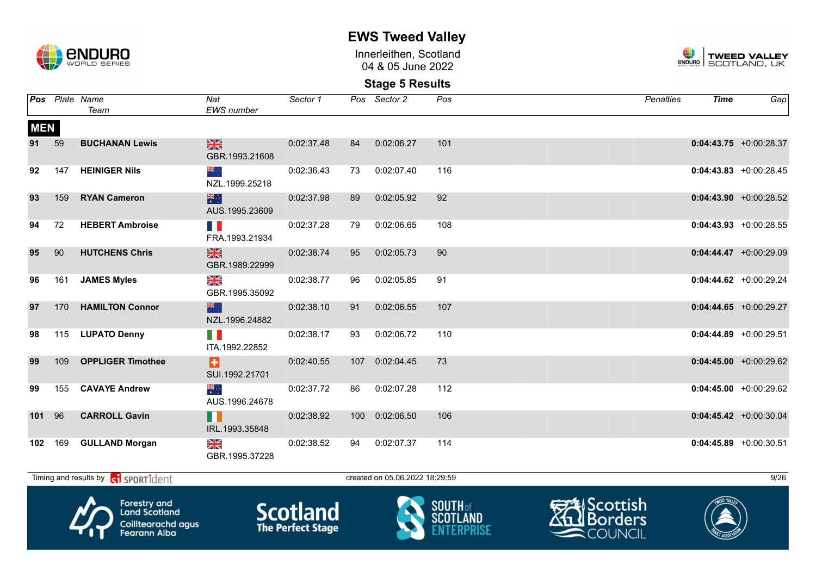

Innerleithen, Scotland 04 & 05 June 2022



**Stage 5 Results**

|            |    | <b>Pos</b> Plate Name<br>Team                    | Nat<br>EWS number                                                                                                                                                                                                                                               | Sector 1   |    | Pos Sector 2                   | Pos | Penalties | <b>Time</b> | Gap                       |
|------------|----|--------------------------------------------------|-----------------------------------------------------------------------------------------------------------------------------------------------------------------------------------------------------------------------------------------------------------------|------------|----|--------------------------------|-----|-----------|-------------|---------------------------|
| <b>MEN</b> |    |                                                  |                                                                                                                                                                                                                                                                 |            |    |                                |     |           |             |                           |
| 91 59      |    | <b>BUCHANAN Lewis</b>                            | $\frac{N}{Z}$ , where $\frac{N}{Z}$<br>GBR.1993.21608                                                                                                                                                                                                           | 0:02:37.48 |    | 84 0:02:06.27                  | 101 |           |             | $0:04:43.75$ +0:00:28.37  |
| 92         |    | 147 HEINIGER Nils                                | ang ∴<br>NZL.1999.25218                                                                                                                                                                                                                                         | 0:02:36.43 |    | 73  0:02:07.40                 | 116 |           |             | $0:04:43.83$ +0:00:28.45  |
| 93         |    | 159 RYAN Cameron                                 | <mark>게</mark> 사용한 것이다.<br>- Hotel State State State State State State State State State State State State State State State State<br>- March State State State State State State State State State State State State State State State State<br>AUS.1995.23609 | 0:02:37.98 | 89 | 0:02:05.92                     | 92  |           |             | $0:04:43.90 +0:00:28.52$  |
| 94         | 72 | <b>HEBERT Ambroise</b>                           | FRA.1993.21934                                                                                                                                                                                                                                                  | 0:02:37.28 | 79 | 0:02:06.65                     | 108 |           |             | $0:04:43.93 + 0:00:28.55$ |
| 95         | 90 | <b>HUTCHENS Chris</b>                            | $\frac{N}{N}$<br>GBR.1989.22999                                                                                                                                                                                                                                 | 0:02:38.74 | 95 | 0:02:05.73                     | 90  |           |             | $0:04:44.47$ +0:00:29.09  |
| 96         |    | 161 JAMES Myles                                  | NK<br>ZK<br>GBR.1995.35092                                                                                                                                                                                                                                      | 0:02:38.77 | 96 | 0:02:05.85                     | 91  |           |             | $0:04:44.62$ +0:00:29.24  |
| 97         |    | 170 HAMILTON Connor                              | <u>als de la compa</u><br>NZL.1996.24882                                                                                                                                                                                                                        | 0:02:38.10 |    | 91 0:02:06.55                  | 107 |           |             | $0:04:44.65$ +0:00:29.27  |
| 98         |    | 115 LUPATO Denny                                 | <b>The Common Service</b><br>ITA.1992.22852                                                                                                                                                                                                                     | 0:02:38.17 | 93 | 0:02:06.72                     | 110 |           |             | $0:04:44.89$ +0:00:29.51  |
| 99         |    | 109 OPPLIGER Timothee                            | Ы<br>SUI.1992.21701                                                                                                                                                                                                                                             | 0:02:40.55 |    | 107 0:02:04.45                 | 73  |           |             | $0:04:45.00$ +0:00:29.62  |
| 99         |    | 155 CAVAYE Andrew                                | ्<br>संदर्भ<br>AUS.1996.24678                                                                                                                                                                                                                                   | 0:02:37.72 |    | 86 0:02:07.28                  | 112 |           |             | $0:04:45.00 + 0:00:29.62$ |
| 101 96     |    | <b>CARROLL Gavin</b>                             | П<br>IRL.1993.35848                                                                                                                                                                                                                                             | 0:02:38.92 |    | 100 0:02:06.50                 | 106 |           |             | $0:04:45.42 +0:00:30.04$  |
|            |    | 102 169 GULLAND Morgan                           | $\frac{\text{N}}{\text{N}}$<br>GBR.1995.37228                                                                                                                                                                                                                   | 0:02:38.52 |    | 94 0:02:07.37                  | 114 |           |             | $0:04:45.89 + 0:00:30.51$ |
|            |    | Timing and results by contract of the SPORT1dent |                                                                                                                                                                                                                                                                 |            |    | created on 05.06.2022 18:29:59 |     |           |             | 9/26                      |



Forestry and<br>Land Scotland Coilltearachd agus<br>Fearann Alba







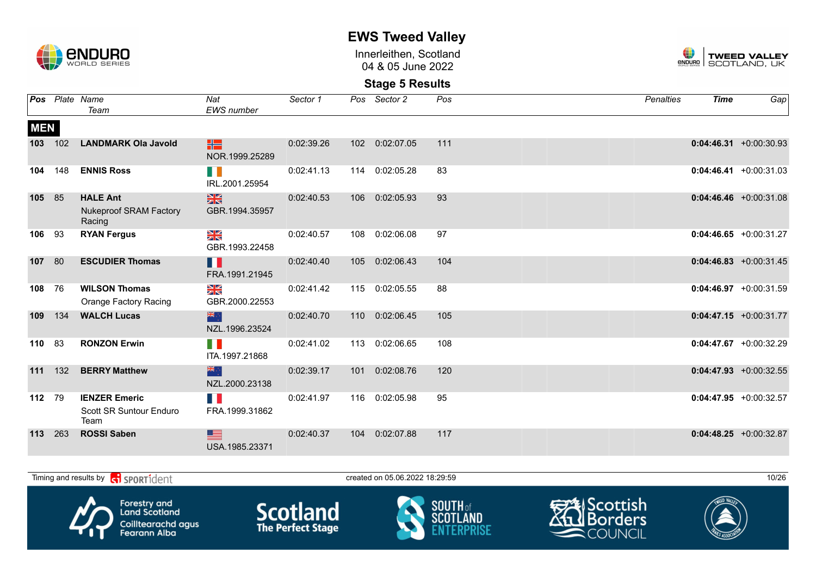

Innerleithen, Scotland 04 & 05 June 2022



|            |     | Pos Plate Name                                             | Nat                             | Sector 1   | Pos | Sector 2       | Pos | <b>Penalties</b> | <b>Time</b> | Gap                       |
|------------|-----|------------------------------------------------------------|---------------------------------|------------|-----|----------------|-----|------------------|-------------|---------------------------|
|            |     | Team                                                       | <b>EWS</b> number               |            |     |                |     |                  |             |                           |
| <b>MEN</b> |     |                                                            |                                 |            |     |                |     |                  |             |                           |
| 103        | 102 | <b>LANDMARK Ola Javold</b>                                 | HE<br>NOR.1999.25289            | 0:02:39.26 |     | 102 0:02:07.05 | 111 |                  |             | $0:04:46.31 + 0:00:30.93$ |
| 104        | 148 | <b>ENNIS Ross</b>                                          | H.<br>IRL.2001.25954            | 0:02:41.13 |     | 114 0:02:05.28 | 83  |                  |             | $0:04:46.41 + 0:00:31.03$ |
| 105        | 85  | <b>HALE Ant</b><br><b>Nukeproof SRAM Factory</b><br>Racing | $\frac{N}{N}$<br>GBR.1994.35957 | 0:02:40.53 |     | 106 0:02:05.93 | 93  |                  |             | $0:04:46.46$ +0:00:31.08  |
| 106        | 93  | <b>RYAN Fergus</b>                                         | NK<br>ZK<br>GBR.1993.22458      | 0:02:40.57 | 108 | 0:02:06.08     | 97  |                  |             | $0:04:46.65 + 0:00:31.27$ |
| 107        | 80  | <b>ESCUDIER Thomas</b>                                     | H<br>FRA.1991.21945             | 0:02:40.40 | 105 | 0:02:06.43     | 104 |                  |             | $0:04:46.83 + 0:00:31.45$ |
| 108        | 76  | <b>WILSON Thomas</b><br><b>Orange Factory Racing</b>       | ≫<br>R<br>GBR.2000.22553        | 0:02:41.42 | 115 | 0:02:05.55     | 88  |                  |             | $0:04:46.97 + 0:00:31.59$ |
| 109        | 134 | <b>WALCH Lucas</b>                                         | 米宁<br>NZL.1996.23524            | 0:02:40.70 | 110 | 0:02:06.45     | 105 |                  |             | $0:04:47.15 + 0:00:31.77$ |
| 110        | 83  | <b>RONZON Erwin</b>                                        | n e<br>ITA.1997.21868           | 0:02:41.02 | 113 | 0:02:06.65     | 108 |                  |             | $0:04:47.67$ +0:00:32.29  |
| 111        | 132 | <b>BERRY Matthew</b>                                       | 米心<br>NZL.2000.23138            | 0:02:39.17 | 101 | 0:02:08.76     | 120 |                  |             | $0:04:47.93 + 0:00:32.55$ |
| 112        | 79  | <b>IENZER Emeric</b><br>Scott SR Suntour Enduro<br>Team    | H.<br>FRA.1999.31862            | 0:02:41.97 | 116 | 0:02:05.98     | 95  |                  |             | $0:04:47.95 + 0:00:32.57$ |
| 113        | 263 | <b>ROSSI Saben</b>                                         | ▆<br>USA.1985.23371             | 0:02:40.37 | 104 | 0:02:07.88     | 117 |                  |             | $0:04:48.25 + 0:00:32.87$ |

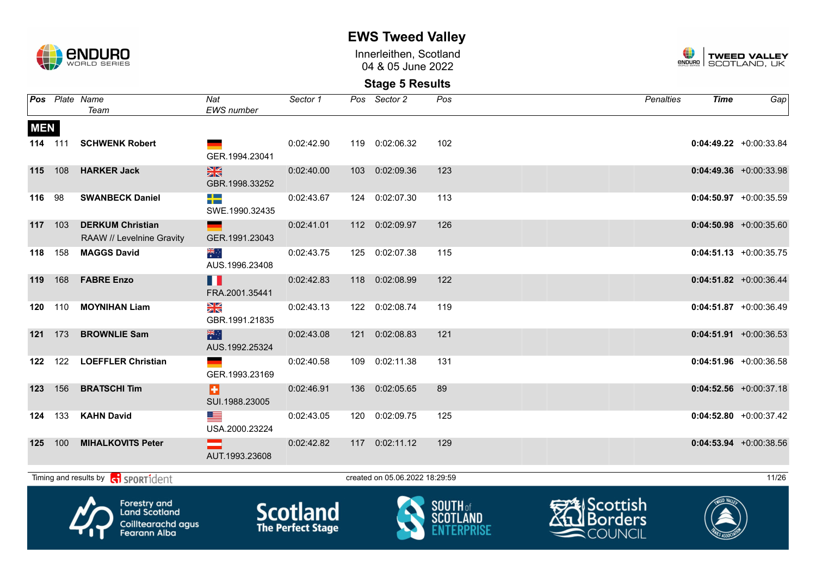

Innerleithen, Scotland 04 & 05 June 2022



|            |         | Pos Plate Name<br>Team                                                                   | Nat<br><b>EWS</b> number               | Sector 1                                    | Pos Sector 2                   | Pos             | Penalties                                                      | <b>Time</b> | Gap                       |
|------------|---------|------------------------------------------------------------------------------------------|----------------------------------------|---------------------------------------------|--------------------------------|-----------------|----------------------------------------------------------------|-------------|---------------------------|
| <b>MEN</b> |         |                                                                                          |                                        |                                             |                                |                 |                                                                |             |                           |
|            | 114 111 | <b>SCHWENK Robert</b>                                                                    | GER.1994.23041                         | 0:02:42.90                                  | 119 0:02:06.32                 | 102             |                                                                |             | $0:04:49.22 +0:00:33.84$  |
| 115        | 108     | <b>HARKER Jack</b>                                                                       | $\frac{N}{N}$<br>GBR.1998.33252        | 0:02:40.00                                  | 103 0:02:09.36                 | 123             |                                                                |             | $0:04:49.36$ +0:00:33.98  |
| 116        | 98      | <b>SWANBECK Daniel</b>                                                                   | $\rightarrow$<br>SWE.1990.32435        | 0:02:43.67                                  | 124 0:02:07.30                 | 113             |                                                                |             | $0:04:50.97$ +0:00:35.59  |
| 117 103    |         | <b>DERKUM Christian</b><br>RAAW // Levelnine Gravity                                     | GER.1991.23043                         | 0:02:41.01                                  | 112 0:02:09.97                 | 126             |                                                                |             | $0:04:50.98$ +0:00:35.60  |
| 118        | 158     | <b>MAGGS David</b>                                                                       | $\frac{1}{\sqrt{2}}$<br>AUS.1996.23408 | 0:02:43.75                                  | 125 0:02:07.38                 | 115             |                                                                |             | $0:04:51.13 + 0:00:35.75$ |
|            | 119 168 | <b>FABRE Enzo</b>                                                                        | H<br>FRA.2001.35441                    | 0:02:42.83                                  | 118 0:02:08.99                 | 122             |                                                                |             | $0:04:51.82 + 0:00:36.44$ |
| 120        | 110     | <b>MOYNIHAN Liam</b>                                                                     | $\frac{N}{N}$<br>GBR.1991.21835        | 0:02:43.13                                  | 122 0:02:08.74                 | 119             |                                                                |             | $0:04:51.87 + 0:00:36.49$ |
| 121        | 173     | <b>BROWNLIE Sam</b>                                                                      | 米<br>AUS.1992.25324                    | 0:02:43.08                                  | 121 0:02:08.83                 | 121             |                                                                |             | $0:04:51.91 + 0:00:36.53$ |
| 122        | 122     | <b>LOEFFLER Christian</b>                                                                | GER.1993.23169                         | 0:02:40.58                                  | 109 0:02:11.38                 | 131             |                                                                |             | $0:04:51.96$ +0:00:36.58  |
| 123        | 156     | <b>BRATSCHI Tim</b>                                                                      | H<br>SUI.1988.23005                    | 0:02:46.91                                  | 136 0:02:05.65                 | 89              |                                                                |             | $0:04:52.56 + 0:00:37.18$ |
| 124        | 133     | <b>KAHN David</b>                                                                        | ▆▆<br>USA.2000.23224                   | 0:02:43.05                                  | 120 0:02:09.75                 | 125             |                                                                |             | $0:04:52.80 + 0:00:37.42$ |
| 125        | 100     | <b>MIHALKOVITS Peter</b>                                                                 | ▄<br>AUT.1993.23608                    | 0:02:42.82                                  | 117 0:02:11.12                 | 129             |                                                                |             | $0:04:53.94 +0:00:38.56$  |
|            |         | Timing and results by <b>contains and the SPORT1</b> dent                                |                                        |                                             | created on 05.06.2022 18:29:59 |                 |                                                                |             | 11/26                     |
|            |         | <b>Forestry and</b><br><b>Land Scotland</b><br>Coilltearachd agus<br><b>Fearann Alba</b> |                                        | <b>Scotland</b><br><b>The Perfect Stage</b> |                                | <b>SOUTH</b> of | <b>AScottish</b><br><u>l</u> Borders<br>$\blacksquare$ COUNCIL |             |                           |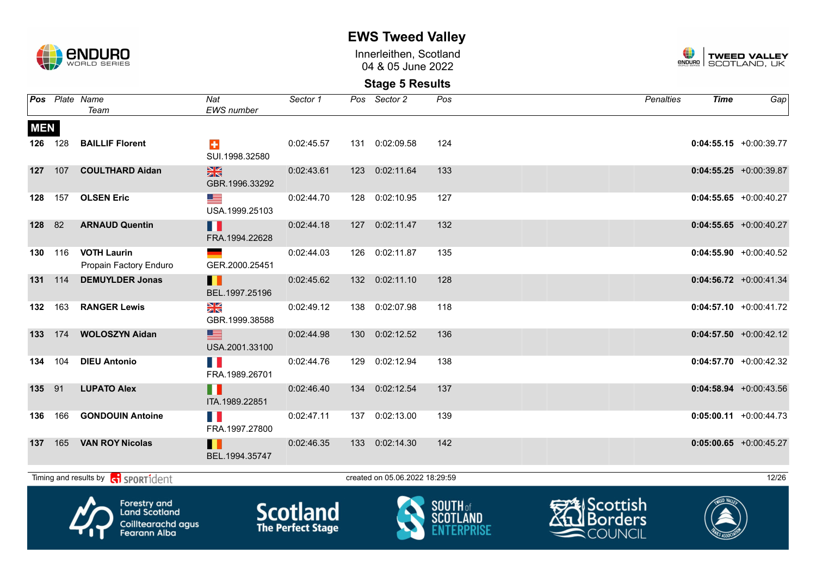

Innerleithen, Scotland 04 & 05 June 2022



|            |         | Pos Plate Name<br>Team                                                            | Nat<br>EWS number               | Sector 1                                    | Pos Sector 2                   | Pos             | Penalties                                                 | <b>Time</b> | Ga <sub>p</sub>           |
|------------|---------|-----------------------------------------------------------------------------------|---------------------------------|---------------------------------------------|--------------------------------|-----------------|-----------------------------------------------------------|-------------|---------------------------|
|            |         |                                                                                   |                                 |                                             |                                |                 |                                                           |             |                           |
| <b>MEN</b> |         |                                                                                   |                                 |                                             |                                |                 |                                                           |             |                           |
|            | 126 128 | <b>BAILLIF Florent</b>                                                            | $\div$<br>SUI.1998.32580        | 0:02:45.57                                  | 131 0:02:09.58                 | 124             |                                                           |             | $0:04:55.15$ +0:00:39.77  |
|            | 127 107 | <b>COULTHARD Aidan</b>                                                            | $\frac{N}{N}$<br>GBR.1996.33292 | 0:02:43.61                                  | 123 0:02:11.64                 | 133             |                                                           |             | $0:04:55.25 + 0:00:39.87$ |
| 128        | 157     | <b>OLSEN Eric</b>                                                                 | <u>est</u><br>USA.1999.25103    | 0:02:44.70                                  | 128 0:02:10.95                 | 127             |                                                           |             | $0:04:55.65$ +0:00:40.27  |
| 128        | 82      | <b>ARNAUD Quentin</b>                                                             | M<br>FRA.1994.22628             | 0:02:44.18                                  | 127 0:02:11.47                 | 132             |                                                           |             | $0:04:55.65 + 0:00:40.27$ |
| 130        | 116     | <b>VOTH Laurin</b><br>Propain Factory Enduro                                      | GER.2000.25451                  | 0:02:44.03                                  | 126 0:02:11.87                 | 135             |                                                           |             | $0:04:55.90 +0:00:40.52$  |
|            | 131 114 | <b>DEMUYLDER Jonas</b>                                                            | H<br>BEL.1997.25196             | 0:02:45.62                                  | 132 0:02:11.10                 | 128             |                                                           |             | $0:04:56.72 + 0:00:41.34$ |
| 132        | 163     | <b>RANGER Lewis</b>                                                               | ≫<br>X<br>GBR.1999.38588        | 0:02:49.12                                  | 138 0:02:07.98                 | 118             |                                                           |             | $0:04:57.10$ +0:00:41.72  |
| 133        | 174     | <b>WOLOSZYN Aidan</b>                                                             | $\equiv$<br>USA.2001.33100      | 0:02:44.98                                  | 130 0:02:12.52                 | 136             |                                                           |             | $0:04:57.50$ +0:00:42.12  |
| 134        | 104     | <b>DIEU Antonio</b>                                                               | T.<br>FRA.1989.26701            | 0:02:44.76                                  | 129 0:02:12.94                 | 138             |                                                           |             | $0:04:57.70$ +0:00:42.32  |
| 135        | 91      | <b>LUPATO Alex</b>                                                                | Ш<br>ITA.1989.22851             | 0:02:46.40                                  | 134 0:02:12.54                 | 137             |                                                           |             | $0:04:58.94 +0:00:43.56$  |
| 136        | 166     | <b>GONDOUIN Antoine</b>                                                           | FRA.1997.27800                  | 0:02:47.11                                  | 137 0:02:13.00                 | 139             |                                                           |             | $0:05:00.11 + 0:00:44.73$ |
| 137        | 165     | <b>VAN ROY Nicolas</b>                                                            | Ш<br>BEL.1994.35747             | 0:02:46.35                                  | 133 0:02:14.30                 | 142             |                                                           |             | $0:05:00.65$ +0:00:45.27  |
|            |         | Timing and results by contract SPORT1dent                                         |                                 |                                             | created on 05.06.2022 18:29:59 |                 |                                                           |             | 12/26                     |
|            |         |                                                                                   |                                 |                                             |                                |                 |                                                           |             |                           |
|            |         | Forestry and<br><b>Land Scotland</b><br>Coilltearachd agus<br><b>Fearann Alba</b> |                                 | <b>Scotland</b><br><b>The Perfect Stage</b> |                                | <b>SOUTH</b> of | <b>AScottish</b><br><b>Jul Borders</b><br><b>ACOUNCIL</b> |             |                           |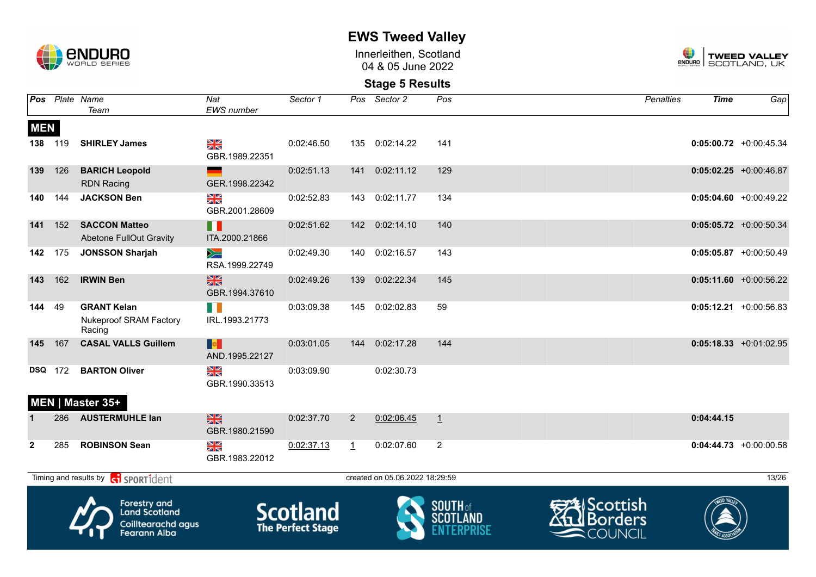

Innerleithen, Scotland 04 & 05 June 2022



|                   |     | Pos Plate Name<br>Team                                                                   | Nat<br><b>EWS</b> number          | Sector 1                                    |                | Pos Sector 2                   | Pos                             | <b>Penalties</b>                             | <b>Time</b> | Gap                       |
|-------------------|-----|------------------------------------------------------------------------------------------|-----------------------------------|---------------------------------------------|----------------|--------------------------------|---------------------------------|----------------------------------------------|-------------|---------------------------|
| <b>MEN</b><br>138 | 119 | <b>SHIRLEY James</b>                                                                     | NK<br>ZK                          | 0:02:46.50                                  |                | 135 0:02:14.22                 | 141                             |                                              |             | $0:05:00.72$ +0:00:45.34  |
|                   |     |                                                                                          | GBR.1989.22351                    |                                             |                |                                |                                 |                                              |             |                           |
| 139               | 126 | <b>BARICH Leopold</b><br><b>RDN Racing</b>                                               | GER.1998.22342                    | 0:02:51.13                                  |                | 141 0:02:11.12                 | 129                             |                                              |             | $0:05:02.25$ +0:00:46.87  |
| 140               | 144 | <b>JACKSON Ben</b>                                                                       | NK<br>Ak<br>GBR.2001.28609        | 0:02:52.83                                  | 143            | 0:02:11.77                     | 134                             |                                              |             | $0:05:04.60 + 0:00:49.22$ |
| 141               | 152 | <b>SACCON Matteo</b><br><b>Abetone FullOut Gravity</b>                                   | H<br>ITA.2000.21866               | 0:02:51.62                                  | 142            | 0:02:14.10                     | 140                             |                                              |             | $0:05:05.72$ +0:00:50.34  |
| 142               | 175 | <b>JONSSON Sharjah</b>                                                                   | $\geqslant$<br>RSA.1999.22749     | 0:02:49.30                                  | 140            | 0:02:16.57                     | 143                             |                                              |             | $0:05:05.87$ +0:00:50.49  |
| 143               | 162 | <b>IRWIN Ben</b>                                                                         | $\frac{N}{N}$<br>GBR.1994.37610   | 0:02:49.26                                  | 139            | 0:02:22.34                     | 145                             |                                              |             | $0:05:11.60 + 0:00:56.22$ |
| 144               | 49  | <b>GRANT Kelan</b><br>Nukeproof SRAM Factory<br>Racing                                   | IRL.1993.21773                    | 0:03:09.38                                  | 145            | 0:02:02.83                     | 59                              |                                              |             | $0:05:12.21 + 0:00:56.83$ |
| 145               | 167 | <b>CASAL VALLS Guillem</b>                                                               | <b>B</b><br>AND.1995.22127        | 0:03:01.05                                  | 144            | 0:02:17.28                     | 144                             |                                              |             | $0:05:18.33 + 0:01:02.95$ |
| <b>DSQ</b>        | 172 | <b>BARTON Oliver</b><br>MEN   Master 35+                                                 | XK<br>GBR.1990.33513              | 0:03:09.90                                  |                | 0:02:30.73                     |                                 |                                              |             |                           |
|                   | 286 | <b>AUSTERMUHLE lan</b>                                                                   | $\frac{28}{28}$<br>GBR.1980.21590 | 0:02:37.70                                  | $\overline{2}$ | 0:02:06.45                     | $\perp$                         |                                              | 0:04:44.15  |                           |
| $\mathbf{2}$      | 285 | <b>ROBINSON Sean</b>                                                                     | NK<br>Ak<br>GBR.1983.22012        | 0:02:37.13                                  | $\perp$        | 0:02:07.60                     | 2                               |                                              |             | $0:04:44.73$ +0:00:00.58  |
|                   |     | Timing and results by $\left  \xi_1 \right $ SPORT1 dent                                 |                                   |                                             |                | created on 05.06.2022 18:29:59 |                                 |                                              |             | 13/26                     |
|                   |     | <b>Forestry and</b><br><b>Land Scotland</b><br>Coilltearachd agus<br><b>Fearann Alba</b> |                                   | <b>Scotland</b><br><b>The Perfect Stage</b> |                |                                | <b>SOUTH</b> of<br><b>SCOTI</b> | Scottish<br><b>Borders</b><br><b>COUNCIL</b> |             |                           |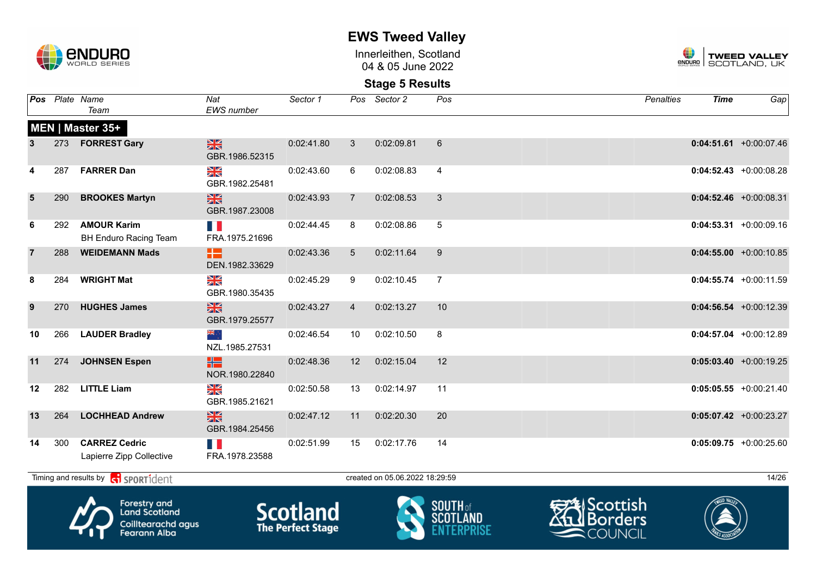

Innerleithen, Scotland 04 & 05 June 2022



### **Stage 5 Results**

|                 |     | Pos Plate Name<br>Team                             | Nat<br><b>EWS</b> number        | Sector 1   |                 | Pos Sector 2                   | Pos            | <b>Penalties</b> | <b>Time</b> | Gap                       |
|-----------------|-----|----------------------------------------------------|---------------------------------|------------|-----------------|--------------------------------|----------------|------------------|-------------|---------------------------|
|                 |     | <b>MEN   Master 35+</b>                            |                                 |            |                 |                                |                |                  |             |                           |
| 3               |     | 273 FORREST Gary                                   | $\frac{N}{N}$<br>GBR.1986.52315 | 0:02:41.80 | $\mathbf{3}$    | 0:02:09.81                     | 6              |                  |             | $0:04:51.61$ +0:00:07.46  |
| 4               | 287 | <b>FARRER Dan</b>                                  | NK<br>ZK<br>GBR.1982.25481      | 0:02:43.60 | 6               | 0:02:08.83                     | $\overline{4}$ |                  |             | $0:04:52.43 + 0:00:08.28$ |
| $5\phantom{.0}$ | 290 | <b>BROOKES Martyn</b>                              | $\frac{N}{N}$<br>GBR.1987.23008 | 0:02:43.93 | $\overline{7}$  | 0:02:08.53                     | 3              |                  |             | $0:04:52.46 + 0:00:08.31$ |
| 6               | 292 | <b>AMOUR Karim</b><br><b>BH Enduro Racing Team</b> | FRA.1975.21696                  | 0:02:44.45 | 8               | 0:02:08.86                     | 5              |                  |             | $0:04:53.31 + 0:00:09.16$ |
| $\overline{7}$  | 288 | <b>WEIDEMANN Mads</b>                              | æ<br>DEN.1982.33629             | 0:02:43.36 | $5\overline{)}$ | 0:02:11.64                     | 9              |                  |             | $0:04:55.00 + 0:00:10.85$ |
| 8               | 284 | <b>WRIGHT Mat</b>                                  | NK<br>AR<br>GBR.1980.35435      | 0:02:45.29 | 9               | 0:02:10.45                     | $\overline{7}$ |                  |             | $0:04:55.74$ +0:00:11.59  |
| 9               | 270 | <b>HUGHES James</b>                                | $\frac{N}{N}$<br>GBR.1979.25577 | 0:02:43.27 | $\overline{4}$  | 0:02:13.27                     | 10             |                  |             | $0:04:56.54$ +0:00:12.39  |
| 10              | 266 | <b>LAUDER Bradley</b>                              | ्र अह<br>NZL.1985.27531         | 0:02:46.54 | 10              | 0:02:10.50                     | 8              |                  |             | $0:04:57.04$ +0:00:12.89  |
| 11              | 274 | <b>JOHNSEN Espen</b>                               | æ<br>NOR.1980.22840             | 0:02:48.36 | 12              | 0:02:15.04                     | 12             |                  |             | $0:05:03.40 +0:00:19.25$  |
| 12              | 282 | <b>LITTLE Liam</b>                                 | N<br>X<br>GBR.1985.21621        | 0:02:50.58 | 13              | 0:02:14.97                     | 11             |                  |             | $0:05:05.55$ +0:00:21.40  |
| 13              | 264 | <b>LOCHHEAD Andrew</b>                             | $\frac{N}{N}$<br>GBR.1984.25456 | 0:02:47.12 | 11              | 0:02:20.30                     | 20             |                  |             | $0:05:07.42 +0:00:23.27$  |
| 14              | 300 | <b>CARREZ Cedric</b><br>Lapierre Zipp Collective   | n Ki<br>FRA.1978.23588          | 0:02:51.99 | 15              | 0:02:17.76                     | 14             |                  |             | $0:05:09.75$ +0:00:25.60  |
|                 |     | Timing and results by <b>contract</b> sport ident  |                                 |            |                 | created on 05.06.2022 18:29:59 |                |                  |             | 14/26                     |



Forestry and<br>Land Scotland Coilltearachd agus<br>Fearann Alba







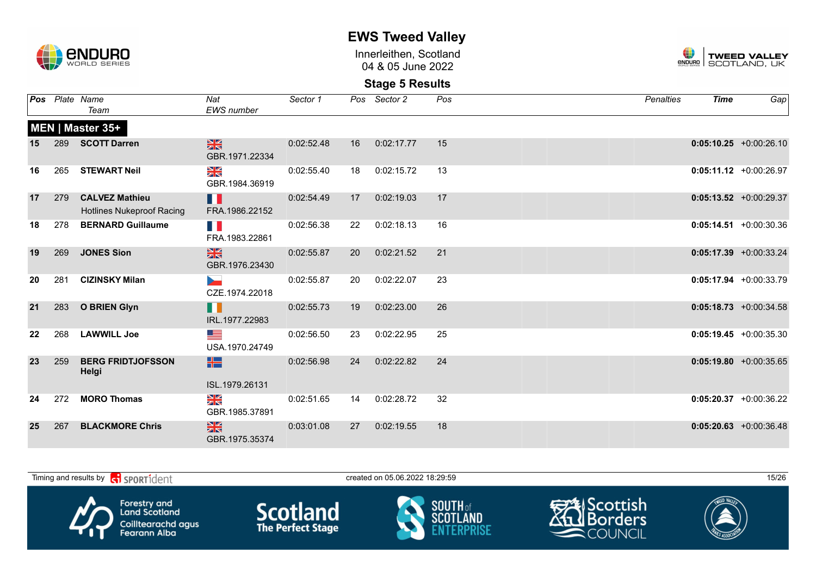

Innerleithen, Scotland 04 & 05 June 2022



|    |     | <b>Pos</b> Plate Name<br>Team                             | Nat<br><b>EWS</b> number         | Sector 1   |    | Pos Sector 2 | Pos | Penalties | <b>Time</b> | Gap                       |
|----|-----|-----------------------------------------------------------|----------------------------------|------------|----|--------------|-----|-----------|-------------|---------------------------|
|    |     | MEN   Master 35+                                          |                                  |            |    |              |     |           |             |                           |
| 15 |     | 289 SCOTT Darren                                          | $\frac{N}{N}$<br>GBR.1971.22334  | 0:02:52.48 | 16 | 0:02:17.77   | 15  |           |             | $0:05:10.25$ +0:00:26.10  |
| 16 | 265 | <b>STEWART Neil</b>                                       | NK<br>ZK<br>GBR.1984.36919       | 0:02:55.40 | 18 | 0:02:15.72   | 13  |           |             | $0:05:11.12 +0:00:26.97$  |
| 17 | 279 | <b>CALVEZ Mathieu</b><br><b>Hotlines Nukeproof Racing</b> | H<br>FRA.1986.22152              | 0:02:54.49 | 17 | 0:02:19.03   | 17  |           |             | $0:05:13.52 +0:00:29.37$  |
| 18 | 278 | <b>BERNARD Guillaume</b>                                  | M.<br>FRA.1983.22861             | 0:02:56.38 | 22 | 0:02:18.13   | 16  |           |             | $0:05:14.51 + 0:00:30.36$ |
| 19 | 269 | <b>JONES Sion</b>                                         | $\frac{N}{N}$<br>GBR.1976.23430  | 0:02:55.87 | 20 | 0:02:21.52   | 21  |           |             | $0:05:17.39 + 0:00:33.24$ |
| 20 | 281 | <b>CIZINSKY Milan</b>                                     | <b>Service</b><br>CZE.1974.22018 | 0:02:55.87 | 20 | 0:02:22.07   | 23  |           |             | $0:05:17.94 +0:00:33.79$  |
| 21 | 283 | <b>O BRIEN Glyn</b>                                       | <b>. .</b><br>IRL.1977.22983     | 0:02:55.73 | 19 | 0:02:23.00   | 26  |           |             | $0:05:18.73 + 0:00:34.58$ |
| 22 | 268 | <b>LAWWILL Joe</b>                                        | <u>as a</u><br>USA.1970.24749    | 0:02:56.50 | 23 | 0:02:22.95   | 25  |           |             | $0:05:19.45 + 0:00:35.30$ |
| 23 | 259 | <b>BERG FRIDTJOFSSON</b><br>Helgi                         | H2 .<br>ISL.1979.26131           | 0:02:56.98 | 24 | 0:02:22.82   | 24  |           |             | $0:05:19.80 + 0:00:35.65$ |
| 24 | 272 | <b>MORO Thomas</b>                                        | NK<br>ZK<br>GBR.1985.37891       | 0:02:51.65 | 14 | 0:02:28.72   | 32  |           |             | $0:05:20.37$ +0:00:36.22  |
| 25 | 267 | <b>BLACKMORE Chris</b>                                    | $\frac{N}{N}$<br>GBR.1975.35374  | 0:03:01.08 | 27 | 0:02:19.55   | 18  |           |             | $0:05:20.63$ +0:00:36.48  |

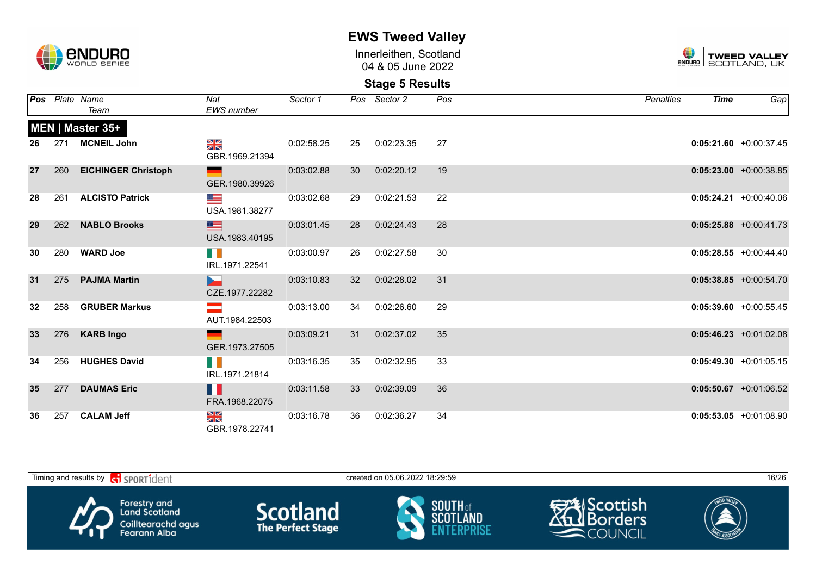

Innerleithen, Scotland 04 & 05 June 2022



|                 | <b>Pos</b> Plate Name   | Nat                                                   | Sector 1   |    | Pos Sector 2   | Pos | Penalties | Time | Gap                       |
|-----------------|-------------------------|-------------------------------------------------------|------------|----|----------------|-----|-----------|------|---------------------------|
|                 | Team                    | <b>EWS</b> number                                     |            |    |                |     |           |      |                           |
|                 | MEN   Master 35+        |                                                       |            |    |                |     |           |      |                           |
| 26              | 271 MCNEIL John         | $\frac{N}{N}$<br>GBR.1969.21394                       | 0:02:58.25 |    | 25  0:02:23.35 | -27 |           |      | $0:05:21.60 + 0:00:37.45$ |
| 27              | 260 EICHINGER Christoph | <u>and the state</u><br>GER.1980.39926                | 0:03:02.88 |    | 30  0:02:20.12 | 19  |           |      | $0:05:23.00 + 0:00:38.85$ |
| 28              | 261 ALCISTO Patrick     | <u>grad de la compa</u><br>USA.1981.38277             | 0:03:02.68 | 29 | 0:02:21.53     | 22  |           |      | $0:05:24.21 + 0:00:40.06$ |
| 29              | 262 NABLO Brooks        | <u>starting the second property</u><br>USA.1983.40195 | 0:03:01.45 |    | 28 0:02:24.43  | 28  |           |      | $0:05:25.88$ +0:00:41.73  |
| 30              | 280 WARD Joe            | H N<br>IRL.1971.22541                                 | 0:03:00.97 |    | 26 0:02:27.58  | 30  |           |      | $0:05:28.55 + 0:00:44.40$ |
| 31              | 275 PAJMA Martin        | <b>Service State</b><br>CZE.1977.22282                | 0:03:10.83 |    | 32  0:02:28.02 | 31  |           |      | $0:05:38.85 + 0:00:54.70$ |
| 32 <sub>2</sub> | 258 GRUBER Markus       | <u>and the state of the state</u><br>AUT.1984.22503   | 0:03:13.00 |    | 34 0:02:26.60  | 29  |           |      | $0:05:39.60 + 0:00:55.45$ |
| 33              | 276 KARB Ingo           | GER.1973.27505                                        | 0:03:09.21 |    | 31  0:02:37.02 | 35  |           |      | $0:05:46.23 +0:01:02.08$  |
| 34              | 256 HUGHES David        | HI N<br>IRL.1971.21814                                | 0:03:16.35 |    | 35 0:02:32.95  | 33  |           |      | $0:05:49.30 +0:01:05.15$  |
| 35 <sub>2</sub> | 277 DAUMAS Eric         | H<br>FRA.1968.22075                                   | 0:03:11.58 |    | 33 0:02:39.09  | 36  |           |      | $0:05:50.67$ +0:01:06.52  |
| 36              | 257 CALAM Jeff          | $\frac{N}{N}$<br>GBR.1978.22741                       | 0:03:16.78 |    | 36 0:02:36.27  | 34  |           |      | $0:05:53.05$ +0:01:08.90  |

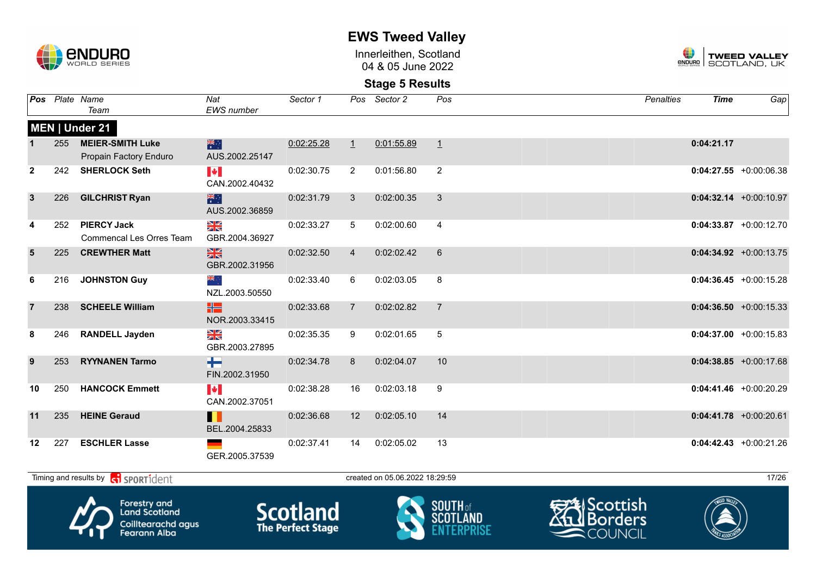

Innerleithen, Scotland 04 & 05 June 2022



### **Stage 5 Results**

|                |     | Pos Plate Name<br>Team                                | Nat<br>EWS number                       | Sector 1   |                 | Pos Sector 2                   | Pos            | Penalties | <b>Time</b> | Gap                       |
|----------------|-----|-------------------------------------------------------|-----------------------------------------|------------|-----------------|--------------------------------|----------------|-----------|-------------|---------------------------|
|                |     | MEN   Under 21                                        |                                         |            |                 |                                |                |           |             |                           |
|                | 255 | <b>MEIER-SMITH Luke</b><br>Propain Factory Enduro     | 米<br>AUS.2002.25147                     | 0:02:25.28 | $\perp$         | 0:01:55.89                     | $\perp$        |           | 0:04:21.17  |                           |
| $\overline{2}$ | 242 | <b>SHERLOCK Seth</b>                                  | $\blacktriangleright$<br>CAN.2002.40432 | 0:02:30.75 | $\overline{2}$  | 0:01:56.80                     | 2              |           |             | $0:04:27.55 + 0:00:06.38$ |
| $\mathbf{3}$   | 226 | <b>GILCHRIST Ryan</b>                                 | 米<br>AUS.2002.36859                     | 0:02:31.79 | 3               | 0:02:00.35                     | $\mathbf{3}$   |           |             | $0:04:32.14 +0:00:10.97$  |
| 4              | 252 | <b>PIERCY Jack</b><br><b>Commencal Les Orres Team</b> | N<br>X<br>GBR.2004.36927                | 0:02:33.27 | 5               | 0:02:00.60                     | $\overline{4}$ |           |             | $0:04:33.87$ +0:00:12.70  |
| 5              | 225 | <b>CREWTHER Matt</b>                                  | $\frac{N}{N}$<br>GBR.2002.31956         | 0:02:32.50 | $\overline{4}$  | 0:02:02.42                     | 6              |           |             | $0:04:34.92 +0:00:13.75$  |
| 6              | 216 | <b>JOHNSTON Guy</b>                                   | ्रह<br>NZL.2003.50550                   | 0:02:33.40 | 6               | 0:02:03.05                     | 8              |           |             | $0:04:36.45 + 0:00:15.28$ |
| $\overline{7}$ | 238 | <b>SCHEELE William</b>                                | 噐<br>NOR.2003.33415                     | 0:02:33.68 | $\overline{7}$  | 0:02:02.82                     | $\overline{7}$ |           |             | $0:04:36.50 + 0:00:15.33$ |
| 8              | 246 | <b>RANDELL Jayden</b>                                 | ≫<br>X<br>GBR.2003.27895                | 0:02:35.35 | 9               | 0:02:01.65                     | 5              |           |             | $0:04:37.00 + 0:00:15.83$ |
| 9              | 253 | <b>RYYNANEN Tarmo</b>                                 | H<br>FIN.2002.31950                     | 0:02:34.78 | 8               | 0:02:04.07                     | 10             |           |             | $0:04:38.85 + 0:00:17.68$ |
| 10             | 250 | <b>HANCOCK Emmett</b>                                 | <b>IV</b><br>CAN.2002.37051             | 0:02:38.28 | 16              | 0:02:03.18                     | 9              |           |             | $0:04:41.46 + 0:00:20.29$ |
| 11             | 235 | <b>HEINE Geraud</b>                                   | Ш<br>BEL.2004.25833                     | 0:02:36.68 | 12 <sup>2</sup> | 0:02:05.10                     | 14             |           |             | $0:04:41.78$ +0:00:20.61  |
| $12 \,$        | 227 | <b>ESCHLER Lasse</b>                                  | GER.2005.37539                          | 0:02:37.41 | 14              | 0:02:05.02                     | 13             |           |             | $0:04:42.43 + 0:00:21.26$ |
|                |     | Timing and results by <b>CO</b> SPORT1dent            |                                         |            |                 | created on 05.06.2022 18:29:59 |                |           |             | 17/26                     |



Forestry and<br>Land Scotland Coilltearachd agus<br>Fearann Alba







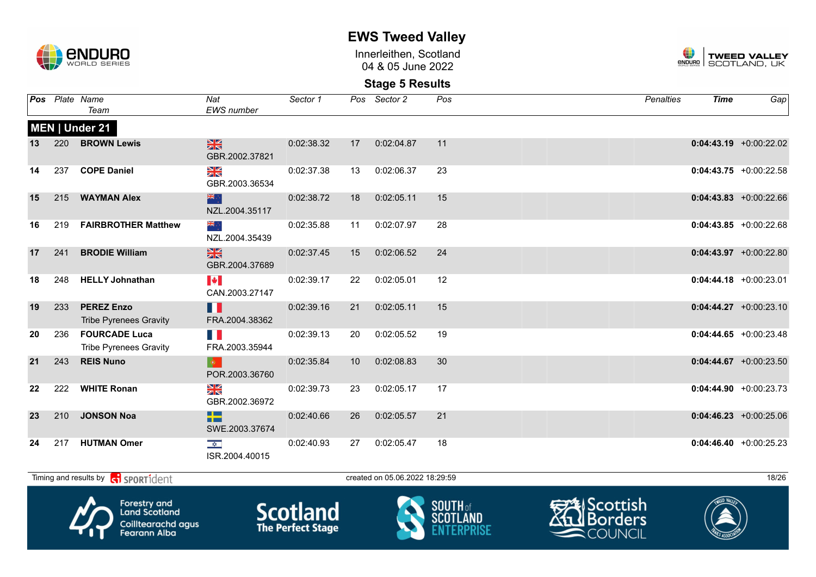

Innerleithen, Scotland 04 & 05 June 2022



### **Stage 5 Results**

|    |     | <b>Pos</b> Plate Name<br>Team                         | Nat<br><b>EWS</b> number                          | Sector 1   |                 | Pos Sector 2 | Pos | <b>Penalties</b> | <b>Time</b> | $Ga$ p                    |
|----|-----|-------------------------------------------------------|---------------------------------------------------|------------|-----------------|--------------|-----|------------------|-------------|---------------------------|
|    |     | MEN   Under 21                                        |                                                   |            |                 |              |     |                  |             |                           |
| 13 | 220 | <b>BROWN Lewis</b>                                    | <b>SK</b><br>GBR.2002.37821                       | 0:02:38.32 | 17              | 0:02:04.87   | 11  |                  |             | $0:04:43.19 + 0:00:22.02$ |
| 14 | 237 | <b>COPE Daniel</b>                                    | $\frac{\mathbf{N}}{\mathbf{N}}$<br>GBR.2003.36534 | 0:02:37.38 | 13              | 0:02:06.37   | 23  |                  |             | $0:04:43.75 +0:00:22.58$  |
| 15 | 215 | <b>WAYMAN Alex</b>                                    | 米之<br>NZL.2004.35117                              | 0:02:38.72 | 18              | 0:02:05.11   | 15  |                  |             | $0:04:43.83 + 0:00:22.66$ |
| 16 | 219 | <b>FAIRBROTHER Matthew</b>                            | ⊹, <mark>≫</mark><br>NZL.2004.35439               | 0:02:35.88 | 11              | 0:02:07.97   | 28  |                  |             | $0:04:43.85 + 0:00:22.68$ |
| 17 | 241 | <b>BRODIE William</b>                                 | $\frac{N}{N}$<br>GBR.2004.37689                   | 0:02:37.45 | 15              | 0:02:06.52   | 24  |                  |             | $0:04:43.97$ +0:00:22.80  |
| 18 | 248 | <b>HELLY Johnathan</b>                                | $\blacktriangleright$<br>CAN.2003.27147           | 0:02:39.17 | 22              | 0:02:05.01   | 12  |                  |             | $0:04:44.18$ +0:00:23.01  |
| 19 | 233 | <b>PEREZ Enzo</b><br><b>Tribe Pyrenees Gravity</b>    | Ш<br>FRA.2004.38362                               | 0:02:39.16 | 21              | 0:02:05.11   | 15  |                  |             | $0:04:44.27 +0:00:23.10$  |
| 20 | 236 | <b>FOURCADE Luca</b><br><b>Tribe Pyrenees Gravity</b> | n Ki<br>FRA.2003.35944                            | 0:02:39.13 | 20              | 0:02:05.52   | 19  |                  |             | $0:04:44.65 + 0:00:23.48$ |
| 21 | 243 | <b>REIS Nuno</b>                                      | $\langle \bullet \rangle$<br>POR.2003.36760       | 0:02:35.84 | 10 <sup>°</sup> | 0:02:08.83   | 30  |                  |             | $0:04:44.67$ +0:00:23.50  |
| 22 | 222 | <b>WHITE Ronan</b>                                    | N<br>ZK<br>GBR.2002.36972                         | 0:02:39.73 | 23              | 0:02:05.17   | 17  |                  |             | $0:04:44.90 + 0:00:23.73$ |
| 23 | 210 | <b>JONSON Noa</b>                                     | <u>s a s</u><br><b>THE R</b><br>SWE.2003.37674    | 0:02:40.66 | 26              | 0:02:05.57   | 21  |                  |             | $0:04:46.23 + 0:00:25.06$ |
| 24 | 217 | <b>HUTMAN Omer</b>                                    | $\frac{1}{\sqrt{2}}$<br>ISR.2004.40015            | 0:02:40.93 | 27              | 0:02:05.47   | 18  |                  |             | $0:04:46.40 + 0:00:25.23$ |

Timing and results by contract of the SPORT10 created on 05.06.2022 18:29:59 18/26

Forestry and<br>Land Scotland Coilltearachd agus<br>Fearann Alba **Scotland** 





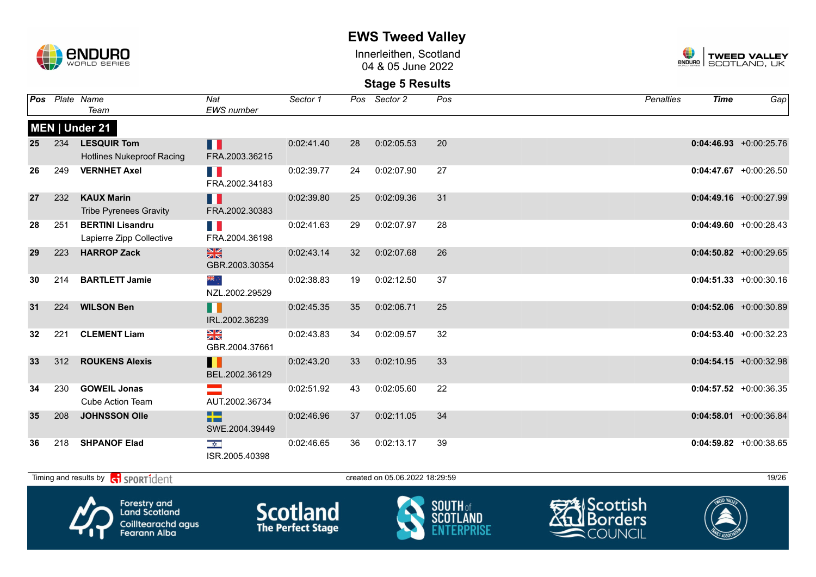

Innerleithen, Scotland 04 & 05 June 2022



### **Stage 5 Results**

| Pos |     | Plate Name<br>Team                                          | Nat<br>EWS number                                               | Sector 1   |    | Pos Sector 2                   | Pos | <b>Penalties</b> | <b>Time</b> | Gap                       |
|-----|-----|-------------------------------------------------------------|-----------------------------------------------------------------|------------|----|--------------------------------|-----|------------------|-------------|---------------------------|
|     |     | MEN   Under 21                                              |                                                                 |            |    |                                |     |                  |             |                           |
| 25  | 234 | <b>LESQUIR Tom</b><br><b>Hotlines Nukeproof Racing</b>      | п<br>FRA.2003.36215                                             | 0:02:41.40 | 28 | 0:02:05.53                     | 20  |                  |             | $0:04:46.93 + 0:00:25.76$ |
| 26  | 249 | <b>VERNHET Axel</b>                                         | H.<br>FRA.2002.34183                                            | 0:02:39.77 | 24 | 0:02:07.90                     | 27  |                  |             | $0:04:47.67$ +0:00:26.50  |
| 27  | 232 | <b>KAUX Marin</b><br><b>Tribe Pyrenees Gravity</b>          | H<br>FRA.2002.30383                                             | 0:02:39.80 | 25 | 0:02:09.36                     | 31  |                  |             | $0:04:49.16$ +0:00:27.99  |
| 28  | 251 | <b>BERTINI Lisandru</b><br>Lapierre Zipp Collective         | H.<br>FRA.2004.36198                                            | 0:02:41.63 | 29 | 0:02:07.97                     | 28  |                  |             | $0:04:49.60 + 0:00:28.43$ |
| 29  | 223 | <b>HARROP Zack</b>                                          | 黑<br>GBR.2003.30354                                             | 0:02:43.14 | 32 | 0:02:07.68                     | 26  |                  |             | $0:04:50.82$ +0:00:29.65  |
| 30  | 214 | <b>BARTLETT Jamie</b>                                       | ak<br>ak<br>NZL.2002.29529                                      | 0:02:38.83 | 19 | 0:02:12.50                     | 37  |                  |             | $0:04:51.33 + 0:00:30.16$ |
| 31  | 224 | <b>WILSON Ben</b>                                           | H II<br>IRL.2002.36239                                          | 0:02:45.35 | 35 | 0:02:06.71                     | 25  |                  |             | $0:04:52.06$ +0:00:30.89  |
| 32  | 221 | <b>CLEMENT Liam</b>                                         | $\frac{N}{N}$<br>GBR.2004.37661                                 | 0:02:43.83 | 34 | 0:02:09.57                     | 32  |                  |             | $0:04:53.40 + 0:00:32.23$ |
| 33  | 312 | <b>ROUKENS Alexis</b>                                       | H<br>BEL.2002.36129                                             | 0:02:43.20 | 33 | 0:02:10.95                     | 33  |                  |             | $0:04:54.15 + 0:00:32.98$ |
| 34  | 230 | <b>GOWEIL Jonas</b><br><b>Cube Action Team</b>              | AUT.2002.36734                                                  | 0:02:51.92 | 43 | 0:02:05.60                     | 22  |                  |             | $0:04:57.52$ +0:00:36.35  |
| 35  | 208 | <b>JOHNSSON Olle</b>                                        | <b>The Contract State</b><br><b>TELESCOPE</b><br>SWE.2004.39449 | 0:02:46.96 | 37 | 0:02:11.05                     | 34  |                  |             | $0:04:58.01 + 0:00:36.84$ |
| 36  | 218 | <b>SHPANOF Elad</b>                                         | $\overline{\mathbf{z}}$<br>ISR.2005.40398                       | 0:02:46.65 | 36 | 0:02:13.17                     | 39  |                  |             | $0:04:59.82$ +0:00:38.65  |
|     |     | Timing and results by <b>container that the SPORT1</b> dent |                                                                 |            |    | created on 05.06.2022 18:29:59 |     |                  |             | 19/26                     |



Forestry and<br>Land Scotland Coilltearachd agus<br>Fearann Alba







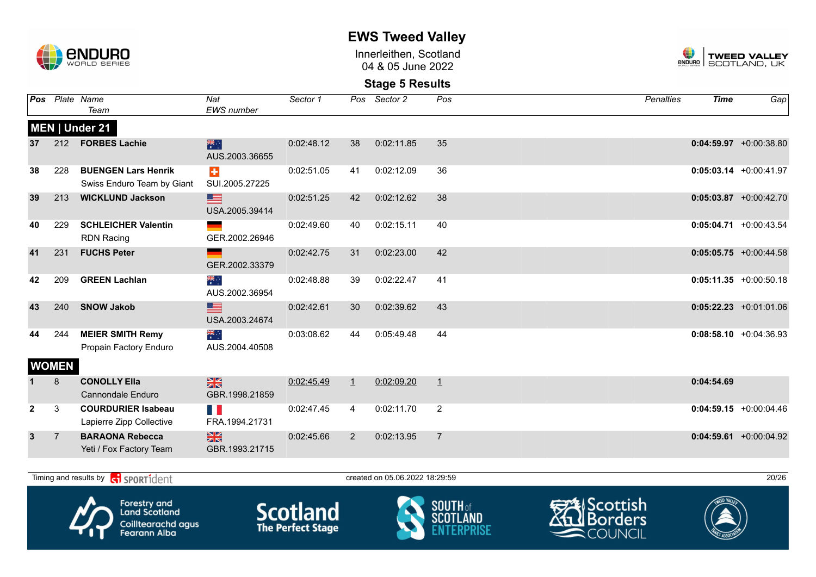

Innerleithen, Scotland 04 & 05 June 2022



**Stage 5 Results**

| Pos          |                | Plate Name<br>Team                                          | Nat<br>EWS number                  | Sector 1   | Pos            | Sector 2                       | Pos            | <b>Penalties</b> | <b>Time</b> | Gap                       |
|--------------|----------------|-------------------------------------------------------------|------------------------------------|------------|----------------|--------------------------------|----------------|------------------|-------------|---------------------------|
|              |                | MEN   Under 21                                              |                                    |            |                |                                |                |                  |             |                           |
| 37           |                | 212 FORBES Lachie                                           | 米<br>AUS.2003.36655                | 0:02:48.12 | 38             | 0:02:11.85                     | 35             |                  |             | $0:04:59.97 +0:00:38.80$  |
| 38           | 228            | <b>BUENGEN Lars Henrik</b><br>Swiss Enduro Team by Giant    | $\ddot{\bullet}$<br>SUI.2005.27225 | 0:02:51.05 | 41             | 0:02:12.09                     | 36             |                  |             | $0:05:03.14$ +0:00:41.97  |
| 39           | 213            | <b>WICKLUND Jackson</b>                                     | <u>est</u><br>USA.2005.39414       | 0:02:51.25 | 42             | 0:02:12.62                     | 38             |                  |             | $0:05:03.87$ +0:00:42.70  |
| 40           | 229            | <b>SCHLEICHER Valentin</b><br><b>RDN Racing</b>             | GER.2002.26946                     | 0:02:49.60 | 40             | 0:02:15.11                     | 40             |                  |             | $0:05:04.71 + 0:00:43.54$ |
| 41           | 231            | <b>FUCHS Peter</b>                                          | GER.2002.33379                     | 0:02:42.75 | 31             | 0:02:23.00                     | 42             |                  |             | $0:05:05.75$ +0:00:44.58  |
| 42           | 209            | <b>GREEN Lachlan</b>                                        | ैं*<br>AUS.2002.36954              | 0:02:48.88 | 39             | 0:02:22.47                     | 41             |                  |             | $0:05:11.35 + 0:00:50.18$ |
| 43           | 240            | <b>SNOW Jakob</b>                                           | <u>se</u><br>USA.2003.24674        | 0:02:42.61 | 30             | 0:02:39.62                     | 43             |                  |             | $0:05:22.23 +0:01:01.06$  |
| 44           | 244            | <b>MEIER SMITH Remy</b><br>Propain Factory Enduro           | ैं हैं<br>AUS.2004.40508           | 0:03:08.62 | 44             | 0:05:49.48                     | 44             |                  |             | $0:08:58.10 + 0:04:36.93$ |
|              | <b>WOMEN</b>   |                                                             |                                    |            |                |                                |                |                  |             |                           |
|              | 8              | <b>CONOLLY Ella</b><br>Cannondale Enduro                    | $\frac{N}{N}$<br>GBR.1998.21859    | 0:02:45.49 | $\perp$        | 0:02:09.20                     | $\perp$        |                  | 0:04:54.69  |                           |
| $\mathbf{2}$ | 3              | <b>COURDURIER Isabeau</b><br>Lapierre Zipp Collective       | H E<br>FRA.1994.21731              | 0:02:47.45 | $\overline{4}$ | 0:02:11.70                     | $\overline{2}$ |                  |             | $0:04:59.15$ +0:00:04.46  |
| $\mathbf{3}$ | $\overline{7}$ | <b>BARAONA Rebecca</b><br>Yeti / Fox Factory Team           | $\frac{N}{N}$<br>GBR.1993.21715    | 0:02:45.66 | 2              | 0:02:13.95                     | $\overline{7}$ |                  |             | $0:04:59.61$ +0:00:04.92  |
|              |                |                                                             |                                    |            |                |                                |                |                  |             |                           |
|              |                | Timing and results by <b>container that the SPORT1</b> dent |                                    |            |                | created on 05.06.2022 18:29:59 |                |                  |             | 20/26                     |



Coilltearachd agus<br>Fearann Alba







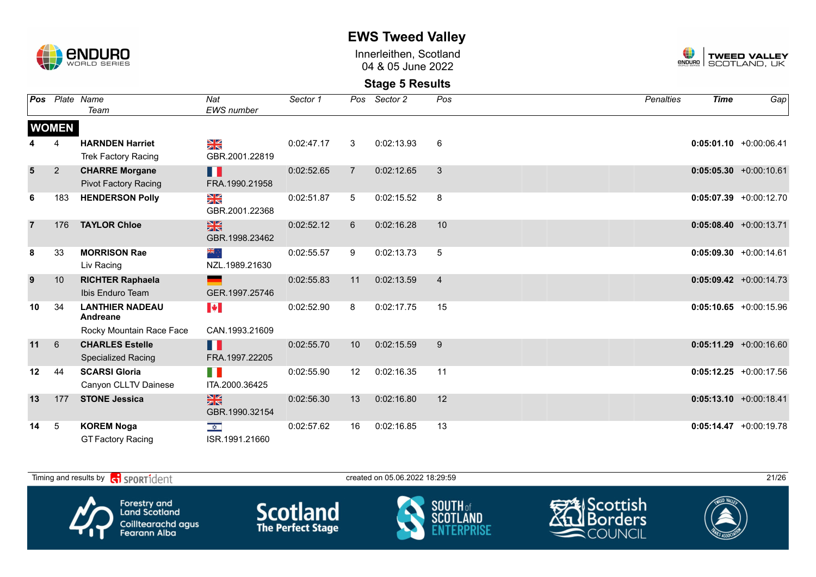

Innerleithen, Scotland 04 & 05 June 2022



| Pos            |                | Plate Name<br>Team                                   | Nat<br>EWS number                         | Sector 1   |                | Pos Sector 2 | Pos            | <b>Penalties</b> | <b>Time</b> | Gap                       |
|----------------|----------------|------------------------------------------------------|-------------------------------------------|------------|----------------|--------------|----------------|------------------|-------------|---------------------------|
|                | <b>WOMEN</b>   |                                                      |                                           |            |                |              |                |                  |             |                           |
|                | 4              | <b>HARNDEN Harriet</b><br><b>Trek Factory Racing</b> | ≫<br>R<br>GBR.2001.22819                  | 0:02:47.17 | 3              | 0:02:13.93   | $\,6\,$        |                  |             | $0:05:01.10$ +0:00:06.41  |
| $5\phantom{1}$ | $\overline{2}$ | <b>CHARRE Morgane</b><br><b>Pivot Factory Racing</b> | H<br>FRA.1990.21958                       | 0:02:52.65 | $\overline{7}$ | 0:02:12.65   | 3              |                  |             | $0:05:05.30 + 0:00:10.61$ |
| 6              | 183            | <b>HENDERSON Polly</b>                               | NK<br>ZK<br>GBR.2001.22368                | 0:02:51.87 | 5              | 0:02:15.52   | 8              |                  |             | $0:05:07.39 + 0:00:12.70$ |
| $\overline{7}$ | 176            | <b>TAYLOR Chloe</b>                                  | $\frac{N}{N}$<br>GBR.1998.23462           | 0:02:52.12 | 6              | 0:02:16.28   | 10             |                  |             | $0:05:08.40$ +0:00:13.71  |
| 8              | 33             | <b>MORRISON Rae</b><br>Liv Racing                    | ं ब्राह<br>NZL.1989.21630                 | 0:02:55.57 | 9              | 0:02:13.73   | 5              |                  |             | $0:05:09.30 + 0:00:14.61$ |
| 9              | 10             | <b>RICHTER Raphaela</b><br>Ibis Enduro Team          | GER.1997.25746                            | 0:02:55.83 | 11             | 0:02:13.59   | $\overline{4}$ |                  |             | $0:05:09.42 +0:00:14.73$  |
| 10             | 34             | <b>LANTHIER NADEAU</b><br>Andreane                   | $\blacktriangleright$                     | 0:02:52.90 | 8              | 0:02:17.75   | 15             |                  |             | $0:05:10.65 + 0:00:15.96$ |
|                |                | Rocky Mountain Race Face                             | CAN.1993.21609                            |            |                |              |                |                  |             |                           |
| 11             | $6\phantom{1}$ | <b>CHARLES Estelle</b><br><b>Specialized Racing</b>  | H<br>FRA.1997.22205                       | 0:02:55.70 | 10             | 0:02:15.59   | 9              |                  |             | $0:05:11.29 + 0:00:16.60$ |
| 12             | 44             | <b>SCARSI Gloria</b><br>Canyon CLLTV Dainese         | H.<br>ITA.2000.36425                      | 0:02:55.90 | 12             | 0:02:16.35   | 11             |                  |             | $0:05:12.25 +0:00:17.56$  |
| 13             | 177            | <b>STONE Jessica</b>                                 | $\frac{N}{N}$<br>GBR.1990.32154           | 0:02:56.30 | 13             | 0:02:16.80   | 12             |                  |             | $0:05:13.10 + 0:00:18.41$ |
| 14             | 5              | <b>KOREM Noga</b><br><b>GT Factory Racing</b>        | $\overline{\mathbf{z}}$<br>ISR.1991.21660 | 0:02:57.62 | 16             | 0:02:16.85   | 13             |                  |             | $0:05:14.47 + 0:00:19.78$ |

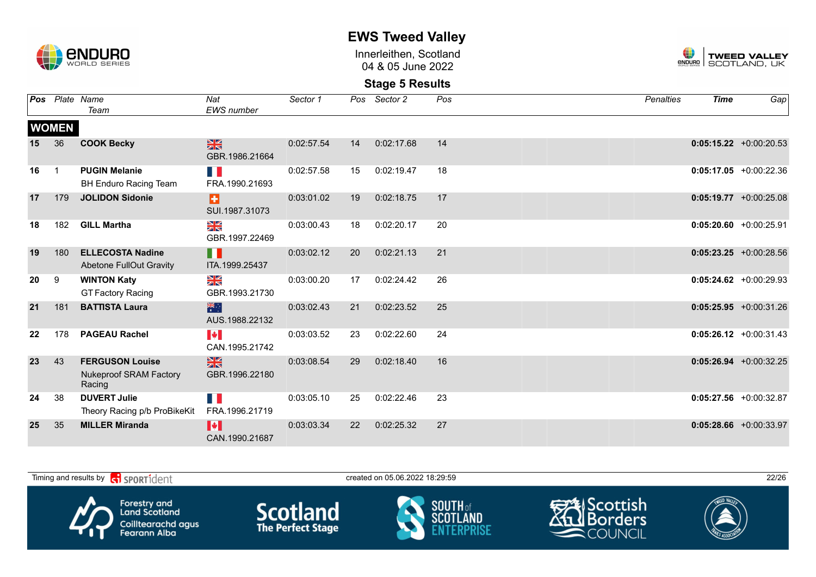

Innerleithen, Scotland 04 & 05 June 2022



| Pos |                | Plate Name                                                        | Nat                                     | Sector 1   | Pos | Sector 2   | Pos | <b>Penalties</b> | <b>Time</b> | Gap                       |
|-----|----------------|-------------------------------------------------------------------|-----------------------------------------|------------|-----|------------|-----|------------------|-------------|---------------------------|
|     |                | Team                                                              | EWS number                              |            |     |            |     |                  |             |                           |
|     | <b>WOMEN</b>   |                                                                   |                                         |            |     |            |     |                  |             |                           |
| 15  | 36             | <b>COOK Becky</b>                                                 | $\frac{N}{N}$<br>GBR.1986.21664         | 0:02:57.54 | 14  | 0:02:17.68 | 14  |                  |             | $0:05:15.22 + 0:00:20.53$ |
| 16  | $\overline{1}$ | <b>PUGIN Melanie</b><br><b>BH Enduro Racing Team</b>              | E.<br>FRA.1990.21693                    | 0:02:57.58 | 15  | 0:02:19.47 | 18  |                  |             | $0:05:17.05 + 0:00:22.36$ |
| 17  | 179            | <b>JOLIDON Sidonie</b>                                            | Ð<br>SUI.1987.31073                     | 0:03:01.02 | 19  | 0:02:18.75 | 17  |                  |             | $0:05:19.77$ +0:00:25.08  |
| 18  | 182            | <b>GILL Martha</b>                                                | NK<br>ZK<br>GBR.1997.22469              | 0:03:00.43 | 18  | 0:02:20.17 | 20  |                  |             | $0:05:20.60 + 0:00:25.91$ |
| 19  | 180            | <b>ELLECOSTA Nadine</b><br><b>Abetone FullOut Gravity</b>         | Ш<br>ITA.1999.25437                     | 0:03:02.12 | 20  | 0:02:21.13 | 21  |                  |             | $0:05:23.25$ +0:00:28.56  |
| 20  | 9              | <b>WINTON Katy</b><br><b>GT Factory Racing</b>                    | NK<br>ZK<br>GBR.1993.21730              | 0:03:00.20 | 17  | 0:02:24.42 | 26  |                  |             | $0:05:24.62$ +0:00:29.93  |
| 21  | 181            | <b>BATTISTA Laura</b>                                             | 米<br>AUS.1988.22132                     | 0:03:02.43 | 21  | 0:02:23.52 | 25  |                  |             | $0:05:25.95 + 0:00:31.26$ |
| 22  | 178            | <b>PAGEAU Rachel</b>                                              | $\blacktriangleright$<br>CAN.1995.21742 | 0:03:03.52 | 23  | 0:02:22.60 | 24  |                  |             | $0:05:26.12 + 0:00:31.43$ |
| 23  | 43             | <b>FERGUSON Louise</b><br><b>Nukeproof SRAM Factory</b><br>Racing | $\frac{N}{N}$<br>GBR.1996.22180         | 0:03:08.54 | 29  | 0:02:18.40 | 16  |                  |             | $0:05:26.94 +0:00:32.25$  |
| 24  | 38             | <b>DUVERT Julie</b><br>Theory Racing p/b ProBikeKit               | M.<br>FRA.1996.21719                    | 0:03:05.10 | 25  | 0:02:22.46 | 23  |                  |             | $0:05:27.56$ +0:00:32.87  |
| 25  | 35             | <b>MILLER Miranda</b>                                             | M<br>CAN.1990.21687                     | 0:03:03.34 | 22  | 0:02:25.32 | 27  |                  |             | $0:05:28.66$ +0:00:33.97  |

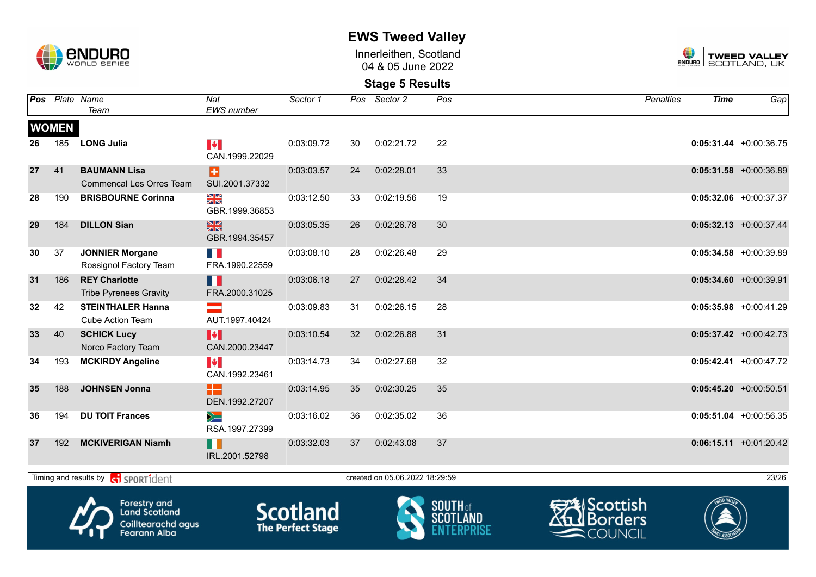

Innerleithen, Scotland 04 & 05 June 2022



#### **Stage 5 Results**

|    |              | Pos Plate Name<br>Team                                 | Nat<br><b>EWS</b> number                | Sector 1   |    | Pos Sector 2                   | Pos             | <b>Penalties</b>      | <b>Time</b> | Gap                       |
|----|--------------|--------------------------------------------------------|-----------------------------------------|------------|----|--------------------------------|-----------------|-----------------------|-------------|---------------------------|
|    | <b>WOMEN</b> |                                                        |                                         |            |    |                                |                 |                       |             |                           |
| 26 | 185          | <b>LONG Julia</b>                                      | $\blacktriangleright$<br>CAN.1999.22029 | 0:03:09.72 | 30 | 0:02:21.72                     | 22              |                       |             | $0:05:31.44 + 0:00:36.75$ |
| 27 | 41           | <b>BAUMANN Lisa</b><br><b>Commencal Les Orres Team</b> | ы<br>SUI.2001.37332                     | 0:03:03.57 | 24 | 0:02:28.01                     | 33              |                       |             | $0:05:31.58$ +0:00:36.89  |
| 28 | 190          | <b>BRISBOURNE Corinna</b>                              | XK<br>ZK<br>GBR.1999.36853              | 0:03:12.50 | 33 | 0:02:19.56                     | 19              |                       |             | $0:05:32.06$ +0:00:37.37  |
| 29 | 184          | <b>DILLON Sian</b>                                     | $\frac{N}{N}$<br>GBR.1994.35457         | 0:03:05.35 | 26 | 0:02:26.78                     | 30              |                       |             | $0:05:32.13$ +0:00:37.44  |
| 30 | 37           | <b>JONNIER Morgane</b><br>Rossignol Factory Team       | FRA.1990.22559                          | 0:03:08.10 | 28 | 0:02:26.48                     | 29              |                       |             | $0:05:34.58$ +0:00:39.89  |
| 31 | 186          | <b>REY Charlotte</b><br><b>Tribe Pyrenees Gravity</b>  | H<br>FRA.2000.31025                     | 0:03:06.18 | 27 | 0:02:28.42                     | 34              |                       |             | $0:05:34.60 + 0:00:39.91$ |
| 32 | 42           | <b>STEINTHALER Hanna</b><br><b>Cube Action Team</b>    | $\equiv$<br>AUT.1997.40424              | 0:03:09.83 | 31 | 0:02:26.15                     | 28              |                       |             | $0:05:35.98$ +0:00:41.29  |
| 33 | 40           | <b>SCHICK Lucy</b><br>Norco Factory Team               | $\blacktriangleright$<br>CAN.2000.23447 | 0:03:10.54 | 32 | 0:02:26.88                     | 31              |                       |             | $0:05:37.42 +0:00:42.73$  |
| 34 | 193          | <b>MCKIRDY Angeline</b>                                | <b>M</b><br>CAN.1992.23461              | 0:03:14.73 | 34 | 0:02:27.68                     | 32              |                       |             | $0:05:42.41$ +0:00:47.72  |
| 35 | 188          | <b>JOHNSEN Jonna</b>                                   | æ<br>DEN.1992.27207                     | 0:03:14.95 | 35 | 0:02:30.25                     | 35              |                       |             | $0:05:45.20 +0:00:50.51$  |
| 36 | 194          | <b>DU TOIT Frances</b>                                 | $\geq$<br>RSA.1997.27399                | 0:03:16.02 | 36 | 0:02:35.02                     | 36              |                       |             | $0:05:51.04 +0:00:56.35$  |
| 37 | 192          | <b>MCKIVERIGAN Niamh</b>                               | H<br>IRL.2001.52798                     | 0:03:32.03 | 37 | 0:02:43.08                     | 37              |                       |             | $0:06:15.11 + 0:01:20.42$ |
|    |              | Timing and results by contract of the SPORT1dent       |                                         |            |    | created on 05.06.2022 18:29:59 |                 |                       |             | 23/26                     |
|    |              | <b>Forestry and</b>                                    |                                         | $C = L$    |    |                                | <b>SOUTH</b> of | <del>s</del> Scottish |             |                           |



**Land Scotland** Coilltearachd agus<br>Fearann Alba **Scotland**<br>The Perfect Stage





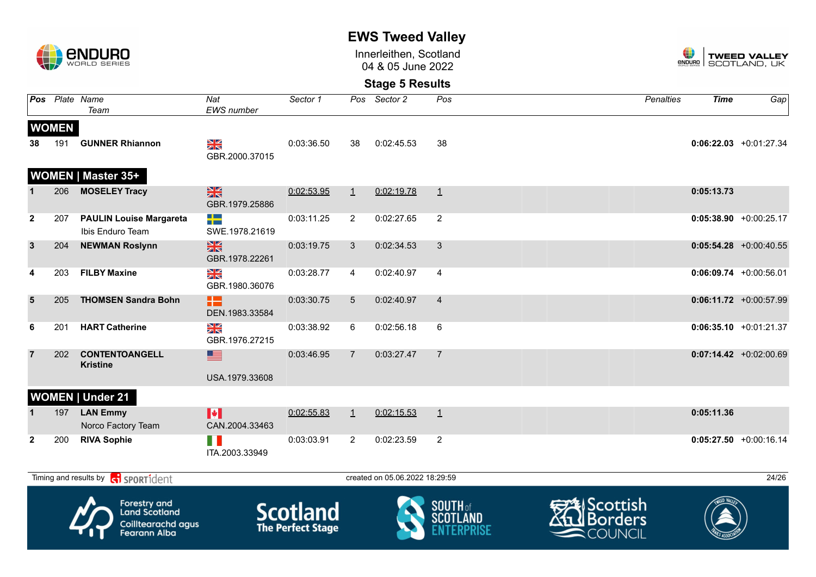

Innerleithen, Scotland 04 & 05 June 2022



### **Stage 5 Results**

|              |              | Pos Plate Name<br>Team                             | Nat<br><b>EWS</b> number        | Sector 1   |                 | Pos Sector 2                   | Pos            | <b>Penalties</b> | <b>Time</b>              | Gap                       |
|--------------|--------------|----------------------------------------------------|---------------------------------|------------|-----------------|--------------------------------|----------------|------------------|--------------------------|---------------------------|
|              | <b>WOMEN</b> |                                                    |                                 |            |                 |                                |                |                  |                          |                           |
| 38           |              | 191 GUNNER Rhiannon                                | XK<br>GBR.2000.37015            | 0:03:36.50 | 38              | 0:02:45.53                     | 38             |                  |                          | $0:06:22.03 + 0:01:27.34$ |
|              |              | WOMEN   Master 35+                                 |                                 |            |                 |                                |                |                  |                          |                           |
|              | 206          | <b>MOSELEY Tracy</b>                               | <b>SK</b><br>GBR.1979.25886     | 0:02:53.95 | $\perp$         | 0:02:19.78                     | $\perp$        |                  | 0:05:13.73               |                           |
| $\mathbf{2}$ | 207          | <b>PAULIN Louise Margareta</b><br>Ibis Enduro Team | ▚<br>SWE.1978.21619             | 0:03:11.25 | $\overline{2}$  | 0:02:27.65                     | 2              |                  |                          | $0:05:38.90 +0:00:25.17$  |
| $\mathbf{3}$ | 204          | <b>NEWMAN Roslynn</b>                              | <b>SK</b><br>GBR.1978.22261     | 0:03:19.75 | $\mathbf{3}$    | 0:02:34.53                     | 3              |                  |                          | $0:05:54.28$ +0:00:40.55  |
| 4            | 203          | <b>FILBY Maxine</b>                                | $\frac{N}{N}$<br>GBR.1980.36076 | 0:03:28.77 | 4               | 0:02:40.97                     | $\overline{4}$ |                  |                          | $0:06:09.74$ +0:00:56.01  |
| 5            | 205          | <b>THOMSEN Sandra Bohn</b>                         | 13<br>DEN.1983.33584            | 0:03:30.75 | $5\overline{)}$ | 0:02:40.97                     | $\overline{4}$ |                  |                          | $0:06:11.72$ +0:00:57.99  |
| 6            | 201          | <b>HART Catherine</b>                              | XK<br>GBR.1976.27215            | 0:03:38.92 | 6               | 0:02:56.18                     | 6              |                  |                          | $0:06:35.10 + 0:01:21.37$ |
|              | 202          | <b>CONTENTOANGELL</b><br><b>Kristine</b>           | 투<br>USA.1979.33608             | 0:03:46.95 | $\overline{7}$  | 0:03:27.47                     | $\overline{7}$ |                  |                          | $0:07:14.42$ +0:02:00.69  |
|              |              | <b>WOMEN   Under 21</b>                            |                                 |            |                 |                                |                |                  |                          |                           |
|              |              | 197 LAN Emmy<br>Norco Factory Team                 | H<br>CAN.2004.33463             | 0:02:55.83 | $\perp$         | 0:02:15.53                     | $\perp$        |                  | 0:05:11.36               |                           |
| $\mathbf{2}$ | 200          | <b>RIVA Sophie</b>                                 | a pr<br>ITA.2003.33949          | 0:03:03.91 | $\overline{2}$  | 0:02:23.59                     | 2              |                  |                          | $0:05:27.50$ +0:00:16.14  |
|              |              | Timing and results by <b>G</b> sportident          |                                 |            |                 | created on 05.06.2022 18:29:59 |                |                  |                          | 24/26                     |
|              |              | $\bullet$                                          |                                 |            |                 |                                |                |                  | $\overline{\phantom{0}}$ |                           |



Forestry and<br>Land Scotland Coilltearachd agus<br>Fearann Alba **Scotland** 





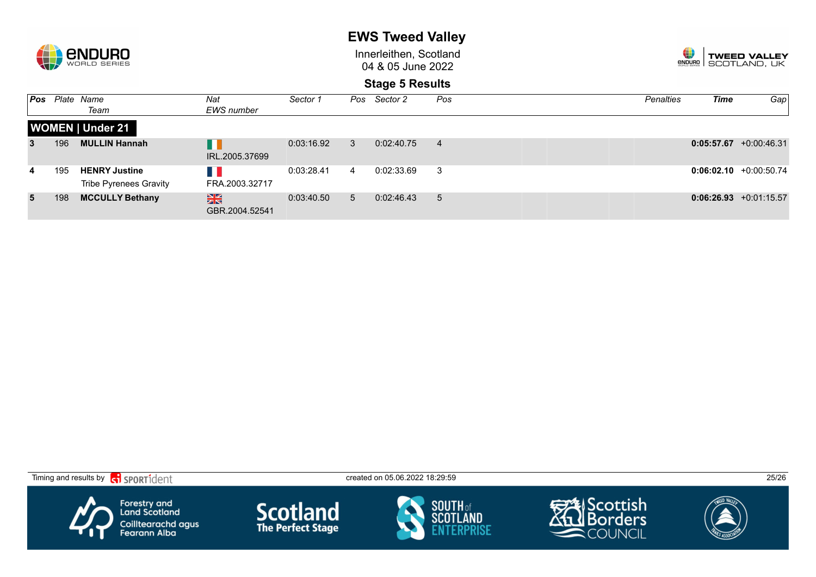

Innerleithen, Scotland 04 & 05 June 2022



| Pos |     | Plate Name<br>Team                                    | Nat<br><b>EWS</b> number        | Sector 1   | Pos         | Sector 2   | Pos            | <b>Penalties</b> | <b>Time</b> | Gap                       |
|-----|-----|-------------------------------------------------------|---------------------------------|------------|-------------|------------|----------------|------------------|-------------|---------------------------|
|     |     | <b>WOMEN   Under 21</b>                               |                                 |            |             |            |                |                  |             |                           |
| 3   | 196 | <b>MULLIN Hannah</b>                                  | IRL.2005.37699                  | 0:03:16.92 | 3           | 0:02:40.75 | 4              |                  |             | $0:05:57.67$ +0:00:46.31  |
| 4   | 195 | <b>HENRY Justine</b><br><b>Tribe Pyrenees Gravity</b> | FRA.2003.32717                  | 0:03:28.41 | 4           | 0:02:33.69 | 3              |                  |             | $0:06:02.10 + 0:00:50.74$ |
| 5   | 198 | <b>MCCULLY Bethany</b>                                | $\frac{N}{N}$<br>GBR.2004.52541 | 0:03:40.50 | $5^{\circ}$ | 0:02:46.43 | 5 <sup>5</sup> |                  |             | $0:06:26.93 +0:01:15.57$  |